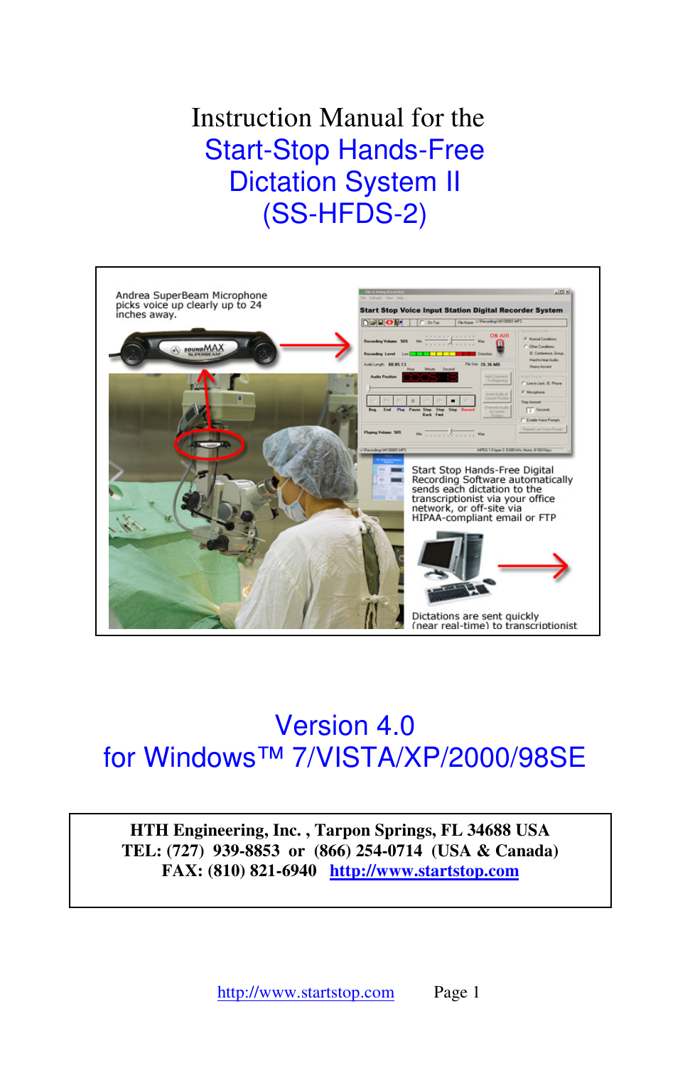Instruction Manual for the Start-Stop Hands-Free Dictation System II (SS-HFDS-2)



# Version 4.0 for Windows™ 7/VISTA/XP/2000/98SE

**HTH Engineering, Inc. , Tarpon Springs, FL 34688 USA TEL: (727) 939-8853 or (866) 254-0714 (USA & Canada) FAX: (810) 821-6940 http://www.startstop.com**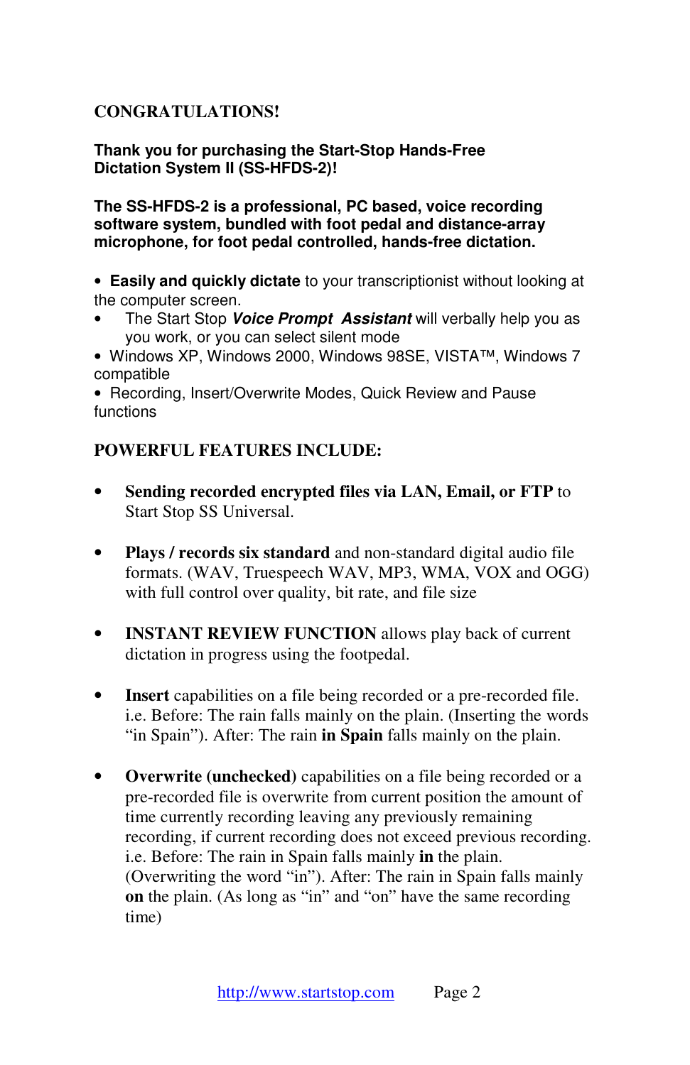## **CONGRATULATIONS!**

**Thank you for purchasing the Start-Stop Hands-Free Dictation System II (SS-HFDS-2)!**

**The SS-HFDS-2 is a professional, PC based, voice recording software system, bundled with foot pedal and distance-array microphone, for foot pedal controlled, hands-free dictation.** 

• **Easily and quickly dictate** to your transcriptionist without looking at the computer screen.

- The Start Stop **Voice Prompt Assistant** will verbally help you as you work, or you can select silent mode
- Windows XP, Windows 2000, Windows 98SE, VISTA™, Windows 7 compatible

•Recording, Insert/Overwrite Modes, Quick Review and Pause functions

## **POWERFUL FEATURES INCLUDE:**

- **Sending recorded encrypted files via LAN, Email, or FTP** to Start Stop SS Universal.
- **Plays / records six standard** and non-standard digital audio file formats. (WAV, Truespeech WAV, MP3, WMA, VOX and OGG) with full control over quality, bit rate, and file size
- **INSTANT REVIEW FUNCTION** allows play back of current dictation in progress using the footpedal.
- **Insert** capabilities on a file being recorded or a pre-recorded file. i.e. Before: The rain falls mainly on the plain. (Inserting the words "in Spain"). After: The rain **in Spain** falls mainly on the plain.
- **Overwrite (unchecked)** capabilities on a file being recorded or a pre-recorded file is overwrite from current position the amount of time currently recording leaving any previously remaining recording, if current recording does not exceed previous recording. i.e. Before: The rain in Spain falls mainly **in** the plain. (Overwriting the word "in"). After: The rain in Spain falls mainly **on** the plain. (As long as "in" and "on" have the same recording time)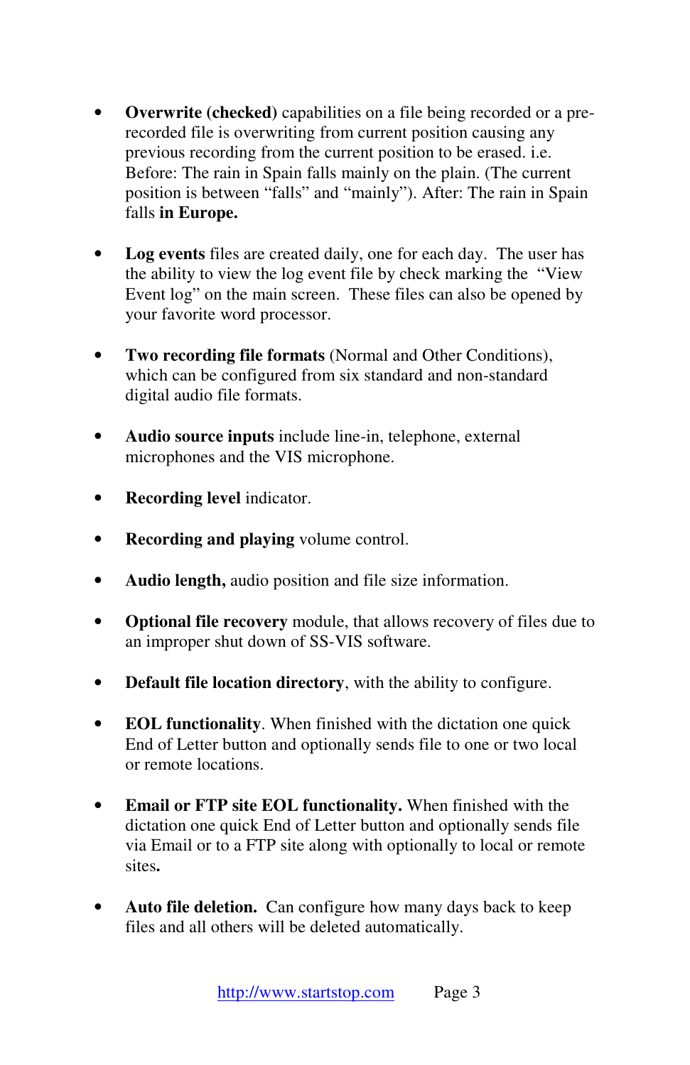- **Overwrite (checked)** capabilities on a file being recorded or a prerecorded file is overwriting from current position causing any previous recording from the current position to be erased. i.e. Before: The rain in Spain falls mainly on the plain. (The current position is between "falls" and "mainly"). After: The rain in Spain falls **in Europe.**
- **Log events** files are created daily, one for each day. The user has the ability to view the log event file by check marking the "View Event log" on the main screen. These files can also be opened by your favorite word processor.
- **Two recording file formats** (Normal and Other Conditions), which can be configured from six standard and non-standard digital audio file formats.
- **Audio source inputs** include line-in, telephone, external microphones and the VIS microphone.
- **Recording level** indicator.
- **Recording and playing** volume control.
- **Audio length,** audio position and file size information.
- **Optional file recovery** module, that allows recovery of files due to an improper shut down of SS-VIS software.
- **Default file location directory**, with the ability to configure.
- **EOL functionality**. When finished with the dictation one quick End of Letter button and optionally sends file to one or two local or remote locations.
- **Email or FTP site EOL functionality.** When finished with the dictation one quick End of Letter button and optionally sends file via Email or to a FTP site along with optionally to local or remote sites**.**
- **Auto file deletion.** Can configure how many days back to keep files and all others will be deleted automatically.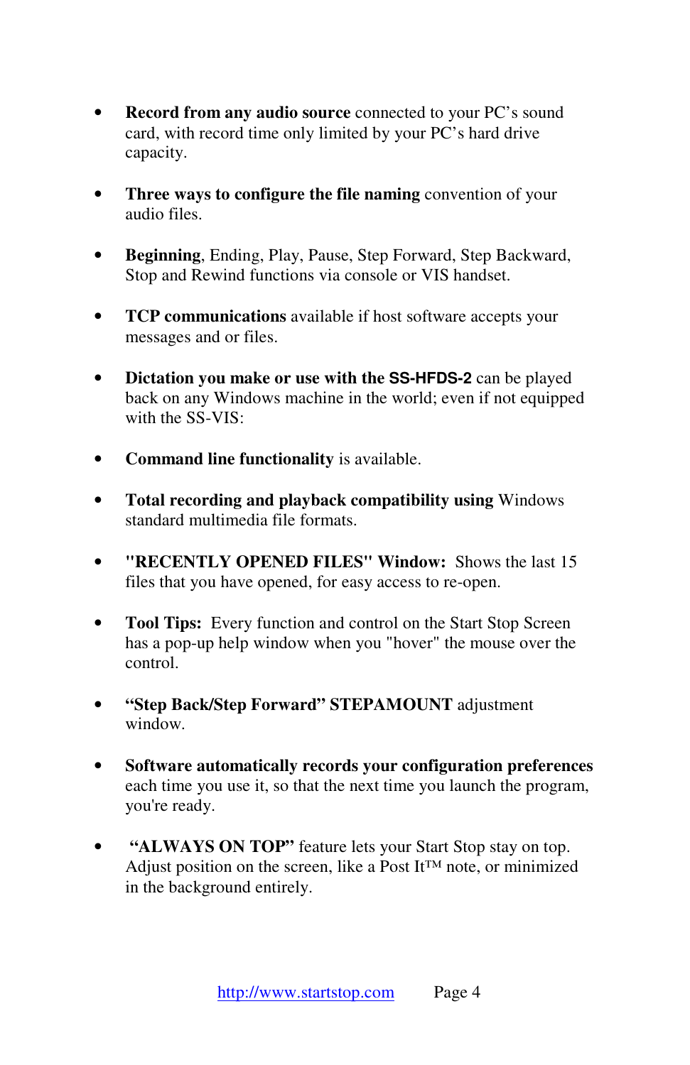- **Record from any audio source** connected to your PC's sound card, with record time only limited by your PC's hard drive capacity.
- **Three ways to configure the file naming** convention of your audio files.
- **Beginning**, Ending, Play, Pause, Step Forward, Step Backward, Stop and Rewind functions via console or VIS handset.
- **TCP communications** available if host software accepts your messages and or files.
- **Dictation you make or use with the SS-HFDS-2** can be played back on any Windows machine in the world; even if not equipped with the SS-VIS<sup>.</sup>
- **Command line functionality** is available.
- **Total recording and playback compatibility using** Windows standard multimedia file formats.
- **"RECENTLY OPENED FILES" Window:** Shows the last 15 files that you have opened, for easy access to re-open.
- **Tool Tips:** Every function and control on the Start Stop Screen has a pop-up help window when you "hover" the mouse over the control.
- **"Step Back/Step Forward" STEPAMOUNT** adjustment window.
- **Software automatically records your configuration preferences** each time you use it, so that the next time you launch the program, you're ready.
- **"ALWAYS ON TOP"** feature lets your Start Stop stay on top. Adjust position on the screen, like a Post It<sup>™</sup> note, or minimized in the background entirely.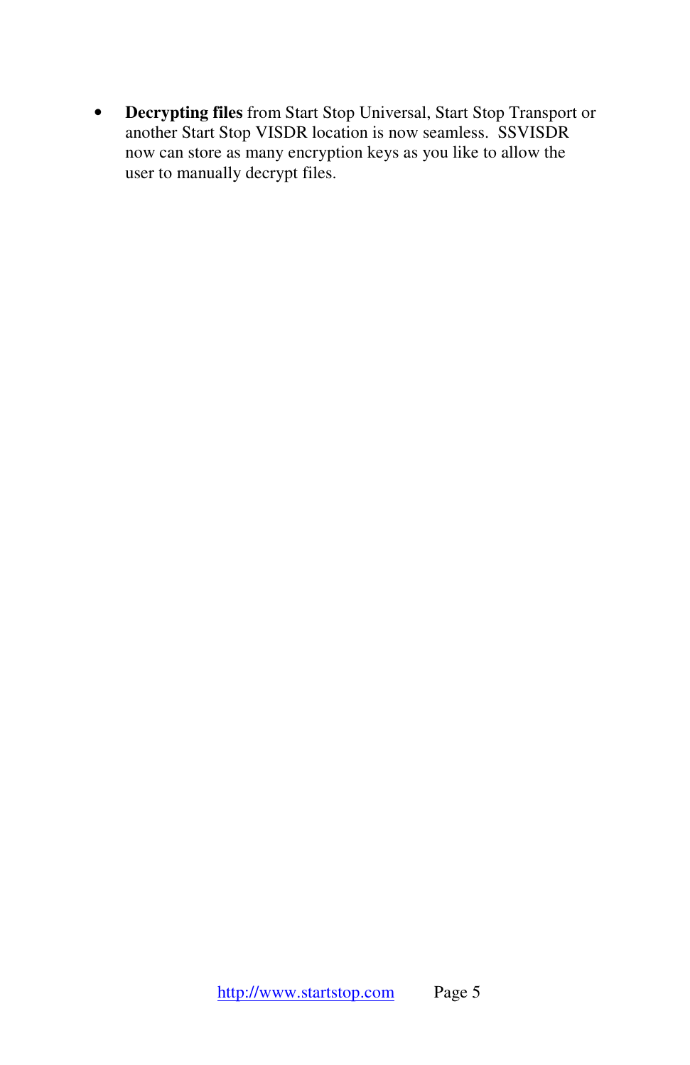• **Decrypting files** from Start Stop Universal, Start Stop Transport or another Start Stop VISDR location is now seamless. SSVISDR now can store as many encryption keys as you like to allow the user to manually decrypt files.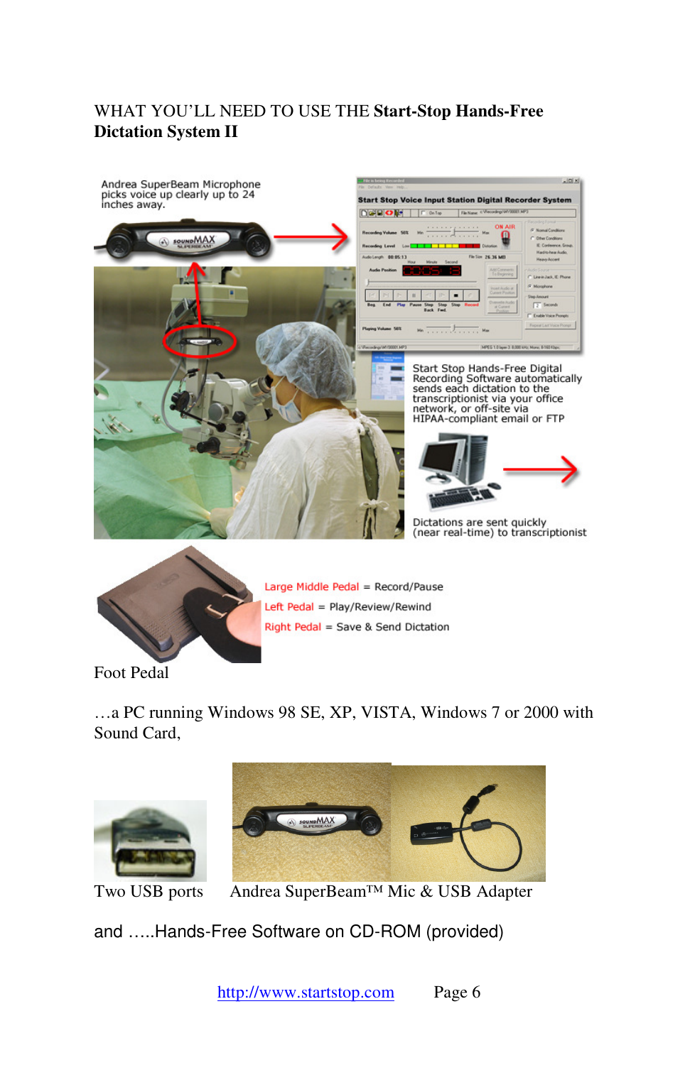## WHAT YOU'LL NEED TO USE THE **Start-Stop Hands-Free Dictation System II**





Large Middle Pedal = Record/Pause Left Pedal = Play/Review/Rewind Right Pedal = Save & Send Dictation

Foot Pedal

…a PC running Windows 98 SE, XP, VISTA, Windows 7 or 2000 with Sound Card,





Two USB ports Andrea SuperBeam™ Mic & USB Adapter

and …..Hands-Free Software on CD-ROM (provided)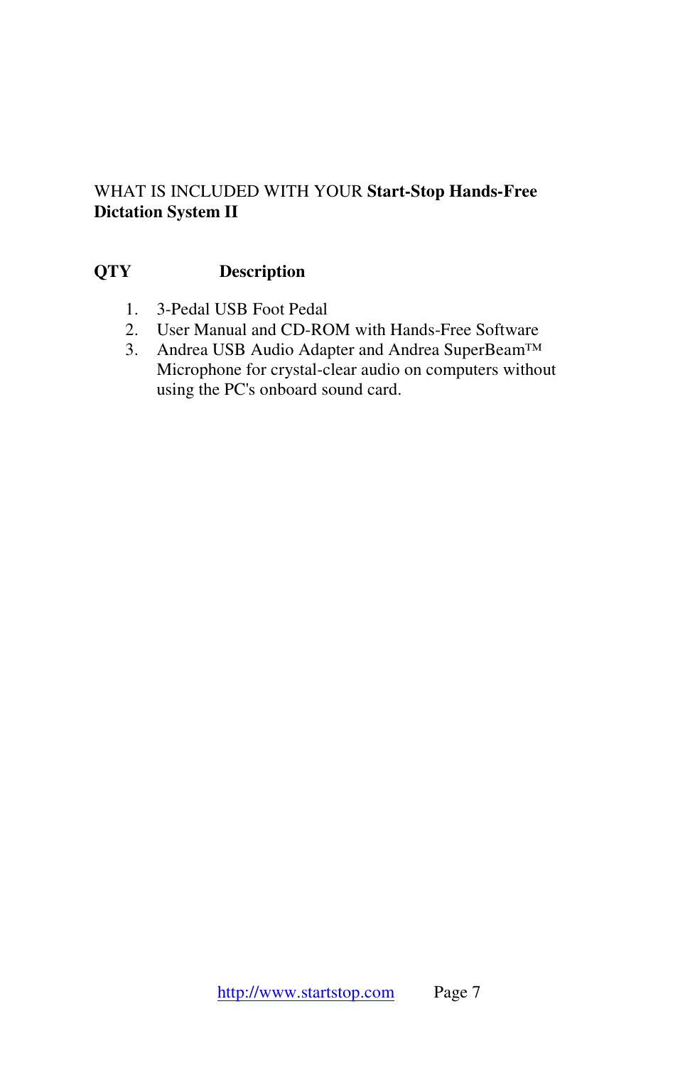## WHAT IS INCLUDED WITH YOUR **Start-Stop Hands-Free Dictation System II**

## **QTY Description**

- 1. 3-Pedal USB Foot Pedal
- 2. User Manual and CD-ROM with Hands-Free Software
- 3. Andrea USB Audio Adapter and Andrea SuperBeam™ Microphone for crystal-clear audio on computers without using the PC's onboard sound card.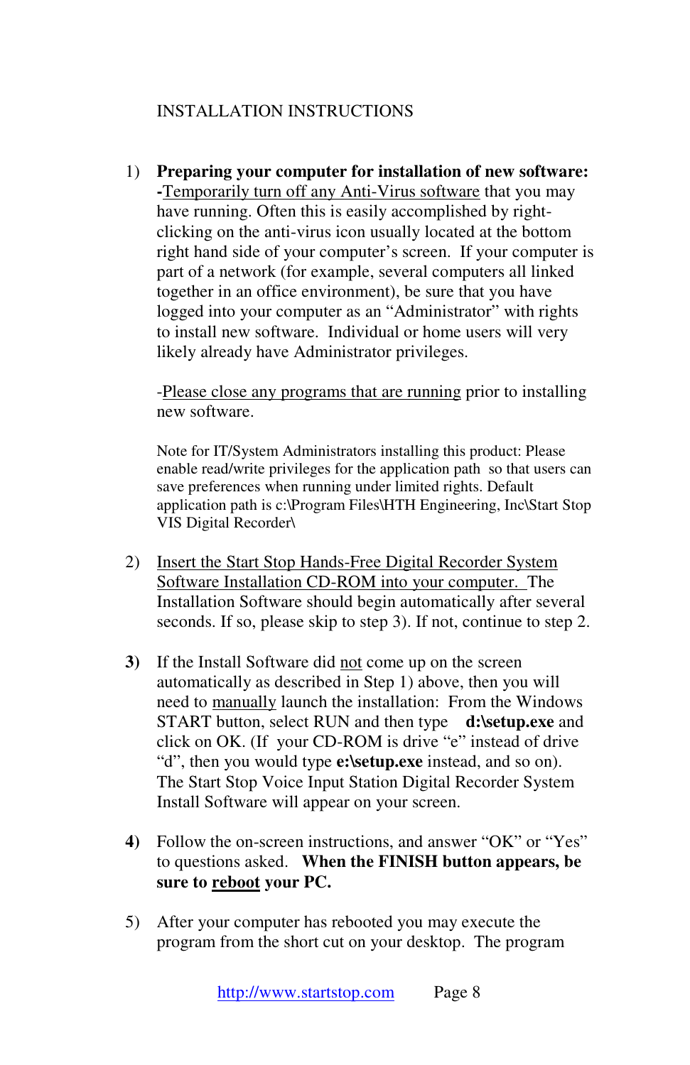## INSTALLATION INSTRUCTIONS

1) **Preparing your computer for installation of new software: -**Temporarily turn off any Anti-Virus software that you may have running. Often this is easily accomplished by rightclicking on the anti-virus icon usually located at the bottom right hand side of your computer's screen. If your computer is part of a network (for example, several computers all linked together in an office environment), be sure that you have logged into your computer as an "Administrator" with rights to install new software. Individual or home users will very likely already have Administrator privileges.

-Please close any programs that are running prior to installing new software.

Note for IT/System Administrators installing this product: Please enable read/write privileges for the application path so that users can save preferences when running under limited rights. Default application path is c:\Program Files\HTH Engineering, Inc\Start Stop VIS Digital Recorder\

- 2) Insert the Start Stop Hands-Free Digital Recorder System Software Installation CD-ROM into your computer. The Installation Software should begin automatically after several seconds. If so, please skip to step 3). If not, continue to step 2.
- **3)** If the Install Software did not come up on the screen automatically as described in Step 1) above, then you will need to manually launch the installation: From the Windows START button, select RUN and then type **d:\setup.exe** and click on OK. (If your CD-ROM is drive "e" instead of drive "d", then you would type **e:\setup.exe** instead, and so on). The Start Stop Voice Input Station Digital Recorder System Install Software will appear on your screen.
- **4)** Follow the on-screen instructions, and answer "OK" or "Yes" to questions asked. **When the FINISH button appears, be sure to reboot your PC.**
- 5) After your computer has rebooted you may execute the program from the short cut on your desktop. The program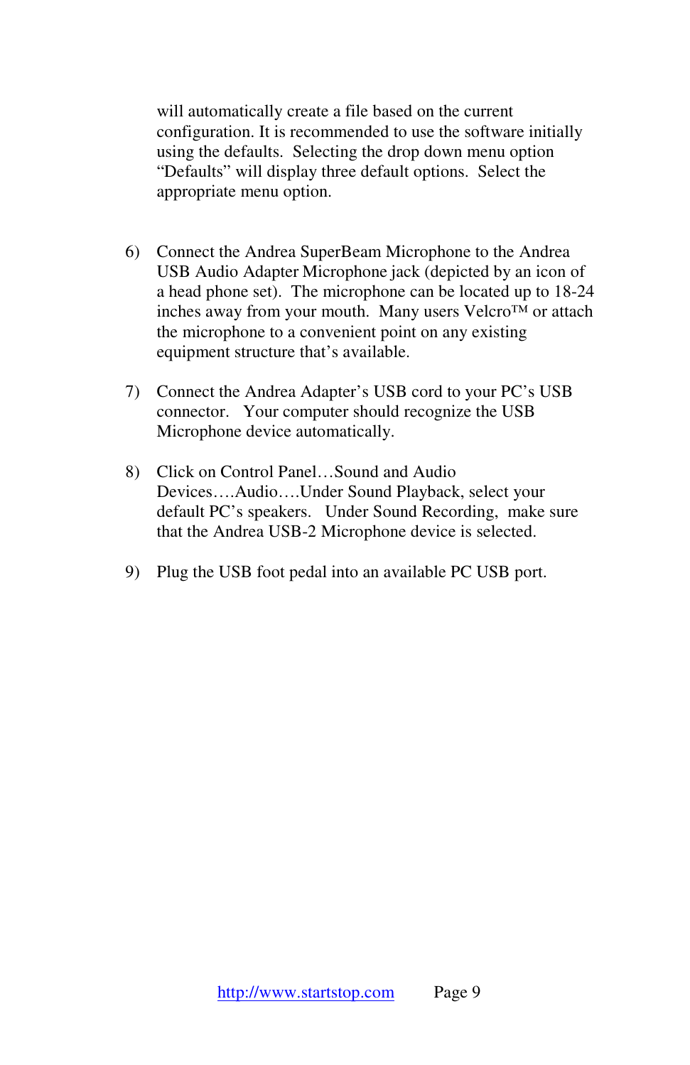will automatically create a file based on the current configuration. It is recommended to use the software initially using the defaults. Selecting the drop down menu option "Defaults" will display three default options. Select the appropriate menu option.

- 6) Connect the Andrea SuperBeam Microphone to the Andrea USB Audio Adapter Microphone jack (depicted by an icon of a head phone set). The microphone can be located up to 18-24 inches away from your mouth. Many users Velcro™ or attach the microphone to a convenient point on any existing equipment structure that's available.
- 7) Connect the Andrea Adapter's USB cord to your PC's USB connector. Your computer should recognize the USB Microphone device automatically.
- 8) Click on Control Panel…Sound and Audio Devices….Audio….Under Sound Playback, select your default PC's speakers. Under Sound Recording, make sure that the Andrea USB-2 Microphone device is selected.
- 9) Plug the USB foot pedal into an available PC USB port.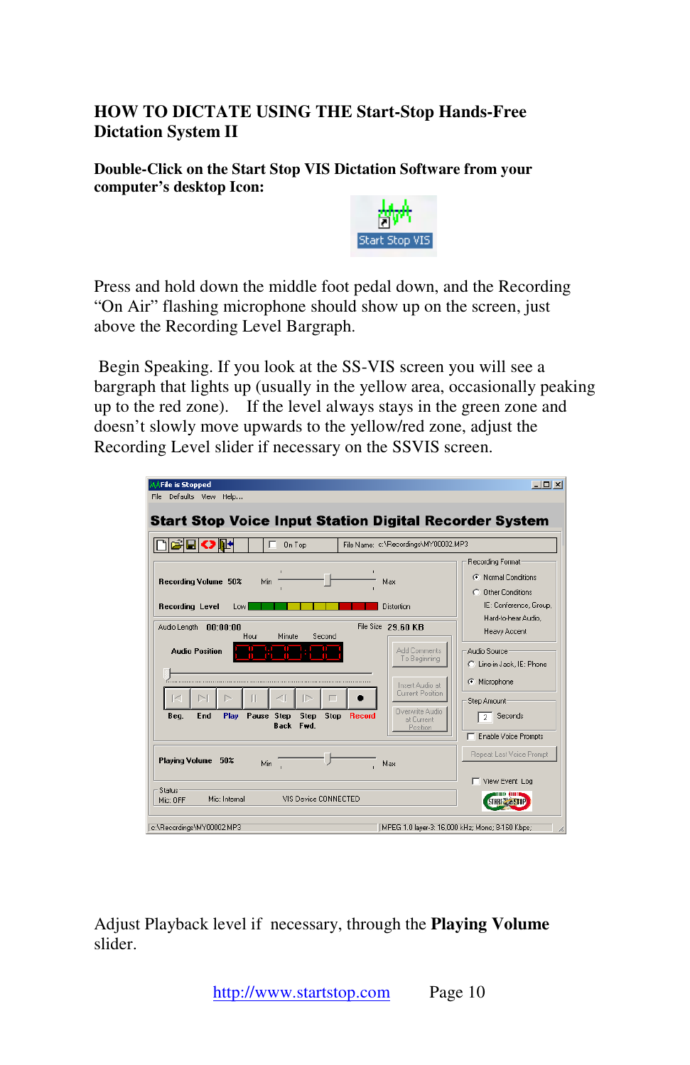## **HOW TO DICTATE USING THE Start-Stop Hands-Free Dictation System II**

**Double-Click on the Start Stop VIS Dictation Software from your computer's desktop Icon:** 



Press and hold down the middle foot pedal down, and the Recording "On Air" flashing microphone should show up on the screen, just above the Recording Level Bargraph.

 Begin Speaking. If you look at the SS-VIS screen you will see a bargraph that lights up (usually in the yellow area, occasionally peaking up to the red zone). If the level always stays in the green zone and doesn't slowly move upwards to the yellow/red zone, adjust the Recording Level slider if necessary on the SSVIS screen.

|                                                   | On Top                                          |                     | File Name: c:\Recordings\MY00002.MP3                                                    |                                                                                          |
|---------------------------------------------------|-------------------------------------------------|---------------------|-----------------------------------------------------------------------------------------|------------------------------------------------------------------------------------------|
| Recording Volume 50%<br><b>Recording Level</b>    | Min.<br>Low.                                    | Max                 | Distortion                                                                              | Recording Format<br>C Normal Conditions<br>C. Other Conditions<br>IE: Conference, Group. |
| Audio Length<br>00:00:00<br><b>Audio Position</b> | Minute<br>Hour                                  | File Size<br>Second | 29.60 KB<br>Add Comments<br>To Beginning                                                | Hard-to-hear Audio<br>Heavy Accent<br>Audio Source<br>C Line-in Jack, IE: Phone          |
| ╱<br>N<br>End<br>Play<br>Beg.                     | $\Box$<br>Pause Step<br>Step<br><b>Back Fwd</b> | Stop<br>Record      | Insert Audio at<br><b>Current Position</b><br>Overwrite Audio<br>at Current<br>Position | Microphone<br>Step Amount<br>Seconds<br>$2-1$<br>Enable Voice Prompts                    |
| <b>Plaving Volume</b><br>50%                      | Min                                             |                     |                                                                                         | Repeat Last Voice Prompt                                                                 |

Adjust Playback level if necessary, through the **Playing Volume** slider.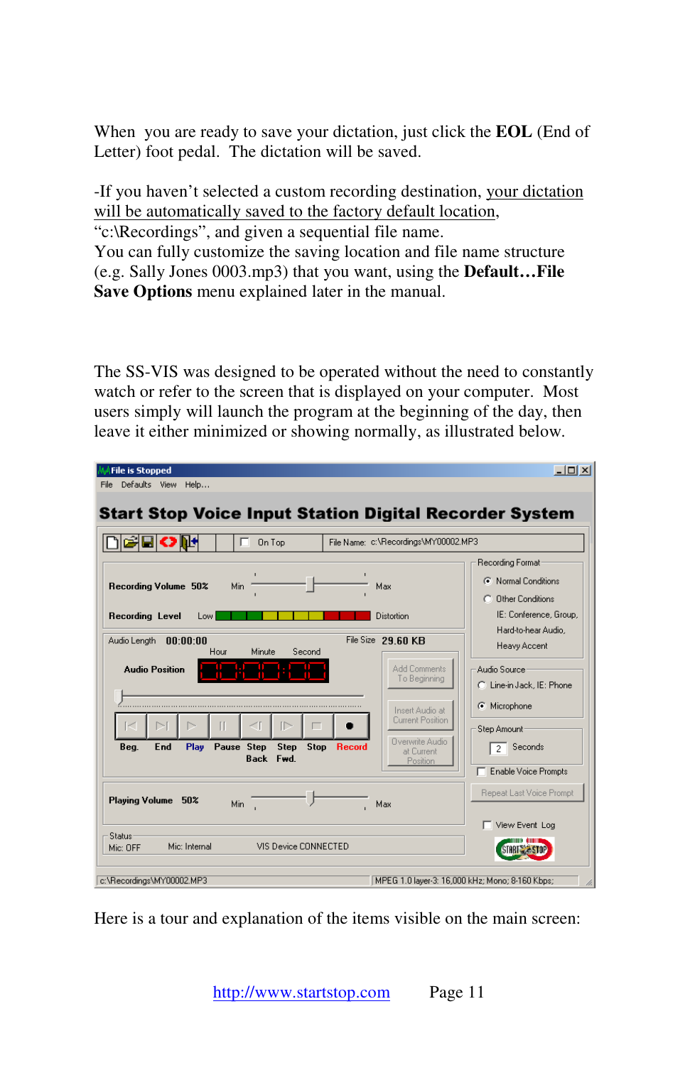When you are ready to save your dictation, just click the **EOL** (End of Letter) foot pedal. The dictation will be saved.

-If you haven't selected a custom recording destination, your dictation will be automatically saved to the factory default location, "c:\Recordings", and given a sequential file name. You can fully customize the saving location and file name structure (e.g. Sally Jones 0003.mp3) that you want, using the **Default…File Save Options** menu explained later in the manual.

The SS-VIS was designed to be operated without the need to constantly watch or refer to the screen that is displayed on your computer. Most users simply will launch the program at the beginning of the day, then leave it either minimized or showing normally, as illustrated below.

| <b>File is Stopped</b><br>Defaults View Help<br>File                                                                                                       | $   x$                                                                                  |
|------------------------------------------------------------------------------------------------------------------------------------------------------------|-----------------------------------------------------------------------------------------|
| <b>Start Stop Voice Input Station Digital Recorder System</b>                                                                                              |                                                                                         |
| File Name: c:\Recordings\MY00002.MP3<br>On Top                                                                                                             |                                                                                         |
| Min<br>Recording Volume 50%<br>Max<br>Recording Level<br>Low<br>Distortion                                                                                 | Recording Format<br>C Normal Conditions<br>C Other Conditions<br>IE: Conference, Group. |
| File Size 29.60 KB<br>Audio Lenath<br>00:00:00<br>Minute<br>Hour<br>Second                                                                                 | Hard-to-hear Audio.<br>Heavy Accent                                                     |
| Add Comments<br><b>Audio Position</b><br>To Beginning<br>Insert Audio at                                                                                   | Audio Source<br>C: Line-in Jack, IE: Phone<br>Microphone                                |
| Current Position<br>Overwrite Audio<br>Pause Step<br>End<br>Play<br>Step<br><b>Stop</b><br>Beg.<br><b>Record</b><br>at Current<br>Back<br>Fwd.<br>Position | Step Amount<br>Seconds<br>$\overline{2}$<br>Enable Voice Prompts                        |
| Playing Volume<br>50%<br>Min.<br>Max                                                                                                                       | Repeat Last Voice Prompt                                                                |
| Status<br>Mic: Internal<br>VIS Device CONNECTED<br>Mic: OFF                                                                                                | View Event Log                                                                          |
| c:\Recordings\MY00002.MP3                                                                                                                                  | MPEG 1.0 layer-3: 16,000 kHz; Mono; 8-160 Kbps;<br>h.                                   |

Here is a tour and explanation of the items visible on the main screen: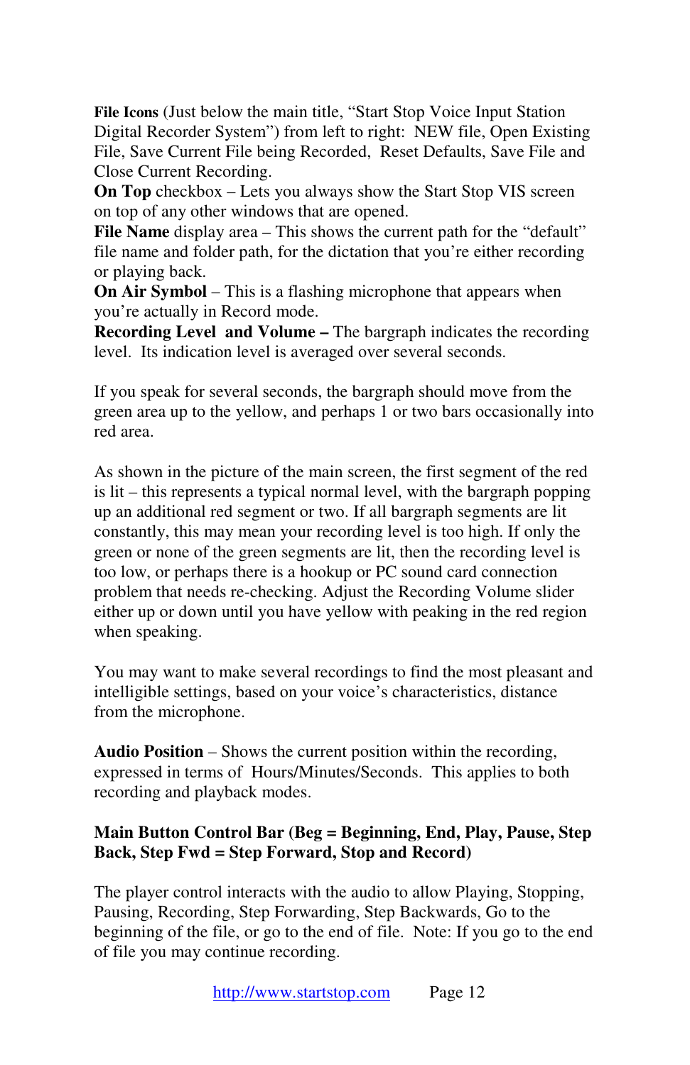**File Icons** (Just below the main title, "Start Stop Voice Input Station Digital Recorder System") from left to right: NEW file, Open Existing File, Save Current File being Recorded, Reset Defaults, Save File and Close Current Recording.

**On Top** checkbox – Lets you always show the Start Stop VIS screen on top of any other windows that are opened.

**File Name** display area – This shows the current path for the "default" file name and folder path, for the dictation that you're either recording or playing back.

**On Air Symbol** – This is a flashing microphone that appears when you're actually in Record mode.

**Recording Level and Volume –** The bargraph indicates the recording level. Its indication level is averaged over several seconds.

If you speak for several seconds, the bargraph should move from the green area up to the yellow, and perhaps 1 or two bars occasionally into red area.

As shown in the picture of the main screen, the first segment of the red is lit – this represents a typical normal level, with the bargraph popping up an additional red segment or two. If all bargraph segments are lit constantly, this may mean your recording level is too high. If only the green or none of the green segments are lit, then the recording level is too low, or perhaps there is a hookup or PC sound card connection problem that needs re-checking. Adjust the Recording Volume slider either up or down until you have yellow with peaking in the red region when speaking.

You may want to make several recordings to find the most pleasant and intelligible settings, based on your voice's characteristics, distance from the microphone.

**Audio Position** – Shows the current position within the recording, expressed in terms of Hours/Minutes/Seconds. This applies to both recording and playback modes.

## **Main Button Control Bar (Beg = Beginning, End, Play, Pause, Step Back, Step Fwd = Step Forward, Stop and Record)**

The player control interacts with the audio to allow Playing, Stopping, Pausing, Recording, Step Forwarding, Step Backwards, Go to the beginning of the file, or go to the end of file. Note: If you go to the end of file you may continue recording.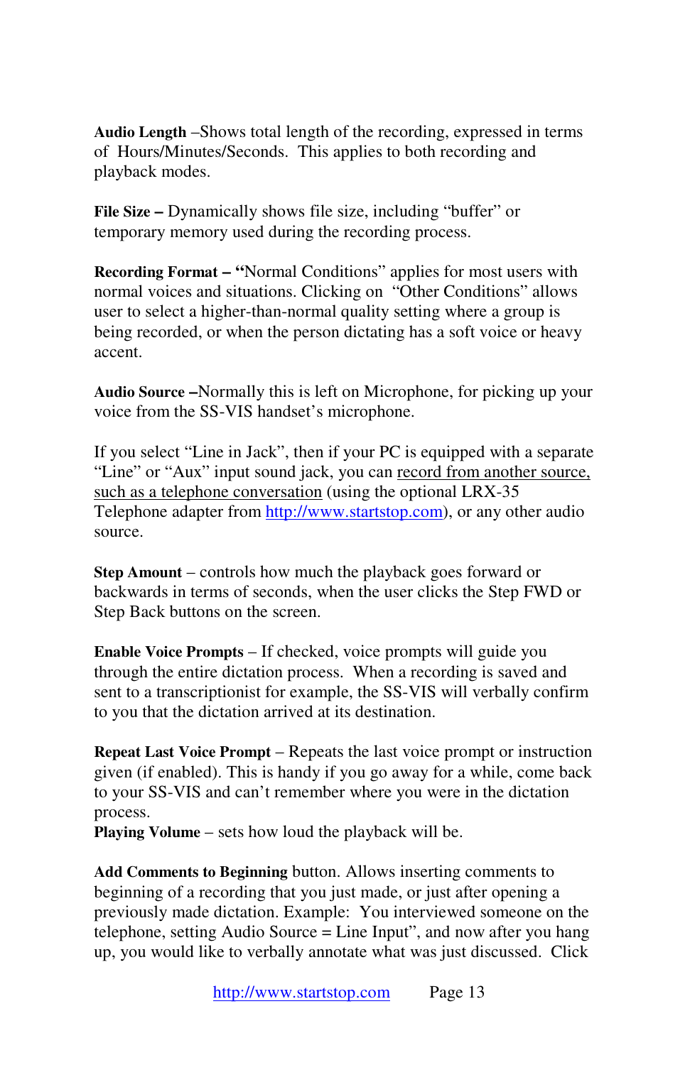**Audio Length** –Shows total length of the recording, expressed in terms of Hours/Minutes/Seconds. This applies to both recording and playback modes.

**File Size –** Dynamically shows file size, including "buffer" or temporary memory used during the recording process.

**Recording Format – "Normal Conditions" applies for most users with** normal voices and situations. Clicking on "Other Conditions" allows user to select a higher-than-normal quality setting where a group is being recorded, or when the person dictating has a soft voice or heavy accent.

**Audio Source –**Normally this is left on Microphone, for picking up your voice from the SS-VIS handset's microphone.

If you select "Line in Jack", then if your PC is equipped with a separate "Line" or "Aux" input sound jack, you can record from another source, such as a telephone conversation (using the optional LRX-35 Telephone adapter from http://www.startstop.com), or any other audio source.

**Step Amount** – controls how much the playback goes forward or backwards in terms of seconds, when the user clicks the Step FWD or Step Back buttons on the screen.

**Enable Voice Prompts** – If checked, voice prompts will guide you through the entire dictation process. When a recording is saved and sent to a transcriptionist for example, the SS-VIS will verbally confirm to you that the dictation arrived at its destination.

**Repeat Last Voice Prompt** – Repeats the last voice prompt or instruction given (if enabled). This is handy if you go away for a while, come back to your SS-VIS and can't remember where you were in the dictation process.

**Playing Volume** – sets how loud the playback will be.

**Add Comments to Beginning** button. Allows inserting comments to beginning of a recording that you just made, or just after opening a previously made dictation. Example: You interviewed someone on the telephone, setting Audio Source = Line Input", and now after you hang up, you would like to verbally annotate what was just discussed. Click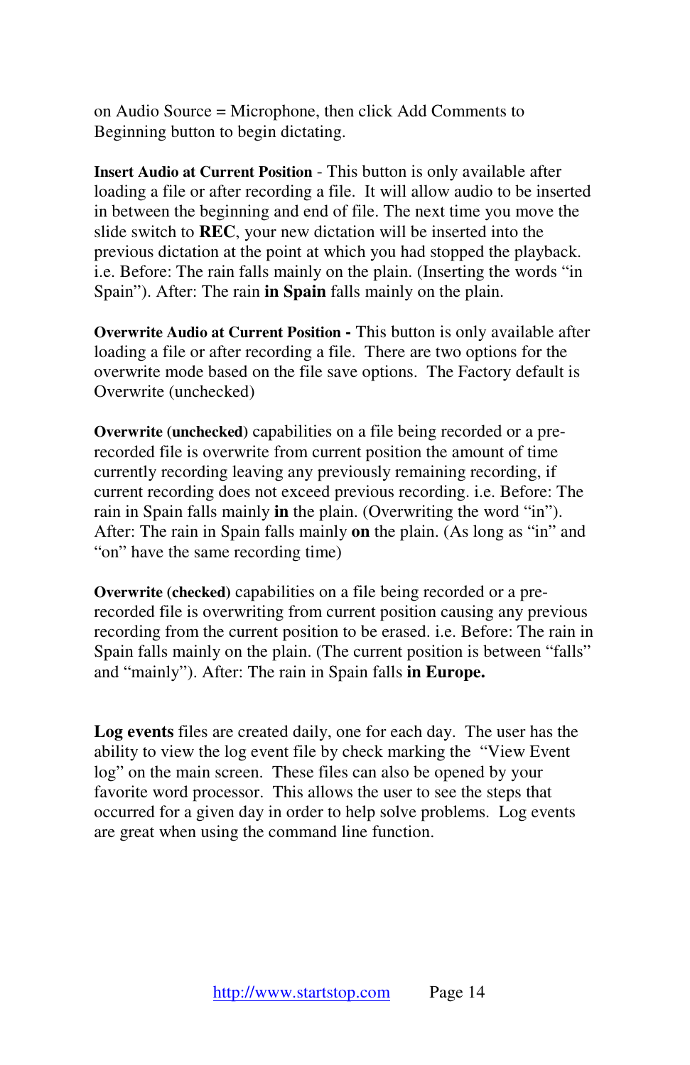on Audio Source = Microphone, then click Add Comments to Beginning button to begin dictating.

**Insert Audio at Current Position** - This button is only available after loading a file or after recording a file. It will allow audio to be inserted in between the beginning and end of file. The next time you move the slide switch to **REC**, your new dictation will be inserted into the previous dictation at the point at which you had stopped the playback. i.e. Before: The rain falls mainly on the plain. (Inserting the words "in Spain"). After: The rain **in Spain** falls mainly on the plain.

**Overwrite Audio at Current Position -** This button is only available after loading a file or after recording a file. There are two options for the overwrite mode based on the file save options. The Factory default is Overwrite (unchecked)

**Overwrite (unchecked)** capabilities on a file being recorded or a prerecorded file is overwrite from current position the amount of time currently recording leaving any previously remaining recording, if current recording does not exceed previous recording. i.e. Before: The rain in Spain falls mainly **in** the plain. (Overwriting the word "in"). After: The rain in Spain falls mainly **on** the plain. (As long as "in" and "on" have the same recording time)

**Overwrite (checked)** capabilities on a file being recorded or a prerecorded file is overwriting from current position causing any previous recording from the current position to be erased. i.e. Before: The rain in Spain falls mainly on the plain. (The current position is between "falls" and "mainly"). After: The rain in Spain falls **in Europe.** 

**Log events** files are created daily, one for each day. The user has the ability to view the log event file by check marking the "View Event log" on the main screen. These files can also be opened by your favorite word processor. This allows the user to see the steps that occurred for a given day in order to help solve problems. Log events are great when using the command line function.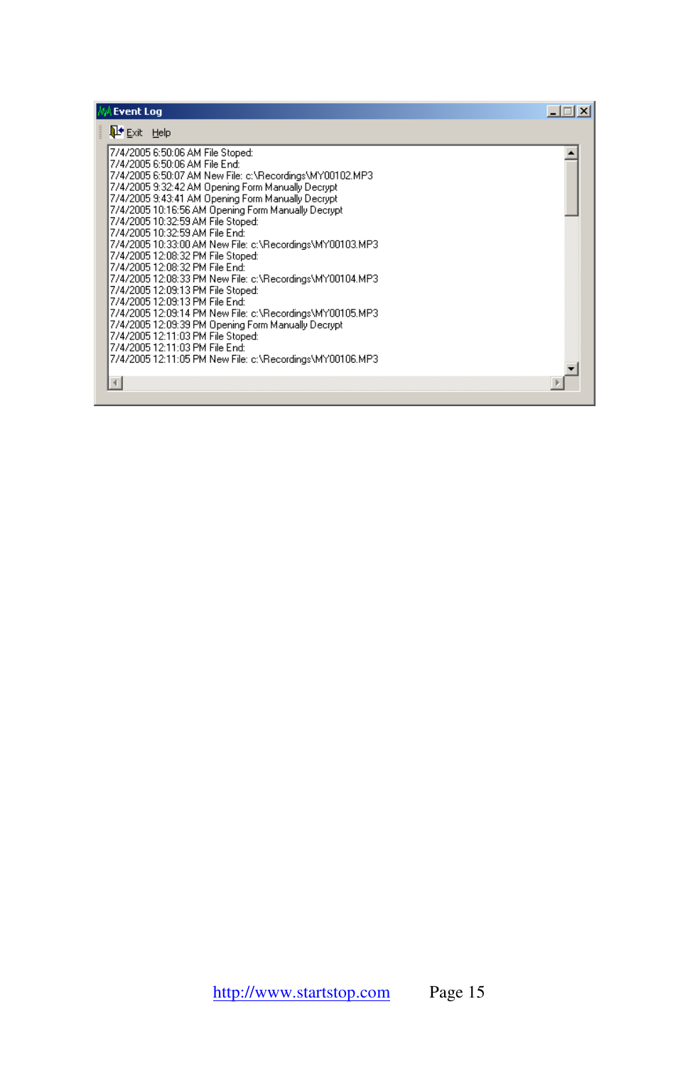| <b>Event Log</b>                                                                                                                                                                                                                                                                                                                                                                                                                                                                                                                                                                                                                                                                                                                                                                                                                                                                                | $  $ $\Box$ $ $ $\times$ $ $ |
|-------------------------------------------------------------------------------------------------------------------------------------------------------------------------------------------------------------------------------------------------------------------------------------------------------------------------------------------------------------------------------------------------------------------------------------------------------------------------------------------------------------------------------------------------------------------------------------------------------------------------------------------------------------------------------------------------------------------------------------------------------------------------------------------------------------------------------------------------------------------------------------------------|------------------------------|
| $\mathbf{P}$ Exit Help                                                                                                                                                                                                                                                                                                                                                                                                                                                                                                                                                                                                                                                                                                                                                                                                                                                                          |                              |
| 7/4/2005 6:50:06 AM File Stoped:<br>7/4/2005 6:50:06 AM File End:<br>7/4/2005 6:50:07 AM New File: c:\Recordings\MY00102.MP3<br>7/4/2005 9:32:42 AM Opening Form Manually Decrypt<br>7/4/2005 9:43:41 AM Opening Form Manually Decrypt<br>7/4/2005 10:16:56 AM Opening Form Manually Decrypt<br>7/4/2005 10:32:59 AM File Stoped:<br>7/4/2005 10:32:59 AM File End:<br>7/4/2005 10:33:00 AM New File: c:\Recordings\MY00103.MP3.<br>7/4/2005 12:08:32 PM File Stoped:<br>7/4/2005 12:08:32 PM File End:<br>7/4/2005 12:08:33 PM New File: c:\Recordings\MY00104.MP3<br>7/4/2005 12:09:13 PM File Stoped:<br>7/4/2005 12:09:13 PM File End:<br>7/4/2005 12:09:14 PM New File: c:\Recordings\MY00105.MP3<br>7/4/2005 12:09:39 PM Opening Form Manually Decrypt<br>7/4/2005 12:11:03 PM File Stoped:<br>7/4/2005 12:11:03 PM File End:<br>7/4/2005 12:11:05 PM New File: c:\Recordings\MY00106.MP3 |                              |
|                                                                                                                                                                                                                                                                                                                                                                                                                                                                                                                                                                                                                                                                                                                                                                                                                                                                                                 |                              |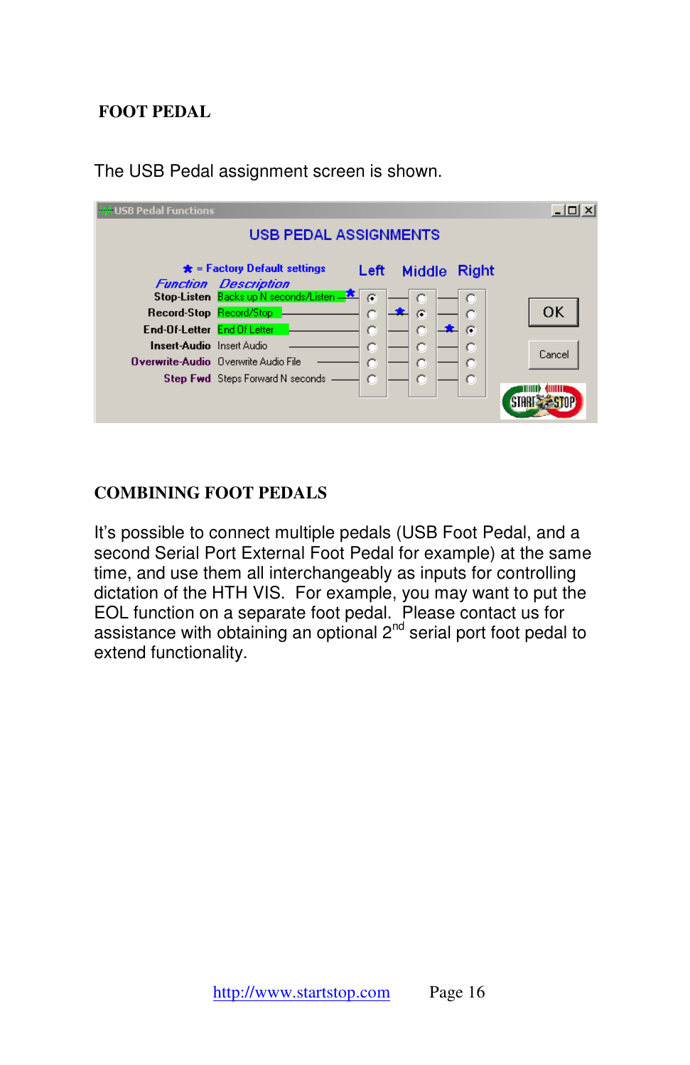## **FOOT PEDAL**

| <b>₩★USB Pedal Functions</b>                           |                                                                      |          |        |       | $ \Box$ $\times$ |
|--------------------------------------------------------|----------------------------------------------------------------------|----------|--------|-------|------------------|
|                                                        | <b>USB PEDAL ASSIGNMENTS</b>                                         |          |        |       |                  |
|                                                        | $\bigstar$ = Factory Default settings<br><b>Function Description</b> | Left     | Middle | Right |                  |
| Record-Stop Record/Stop<br>End-Of-Letter End Of Letter | Stop-Listen Backs up N seconds/Listen -                              | $\sigma$ | G      | G     | 0K               |
| <b>Insert-Audio</b> Insert Audio                       | <b>Overwrite-Audio</b> Overwrite Audio File                          | c<br>c   | c<br>с |       | Cancel           |
|                                                        | <b>Step Fwd</b> Steps Forward N seconds                              | c        | c      |       |                  |

The USB Pedal assignment screen is shown.

## **COMBINING FOOT PEDALS**

It's possible to connect multiple pedals (USB Foot Pedal, and a second Serial Port External Foot Pedal for example) at the same time, and use them all interchangeably as inputs for controlling dictation of the HTH VIS. For example, you may want to put the EOL function on a separate foot pedal. Please contact us for assistance with obtaining an optional  $2^{nd}$  serial port foot pedal to extend functionality.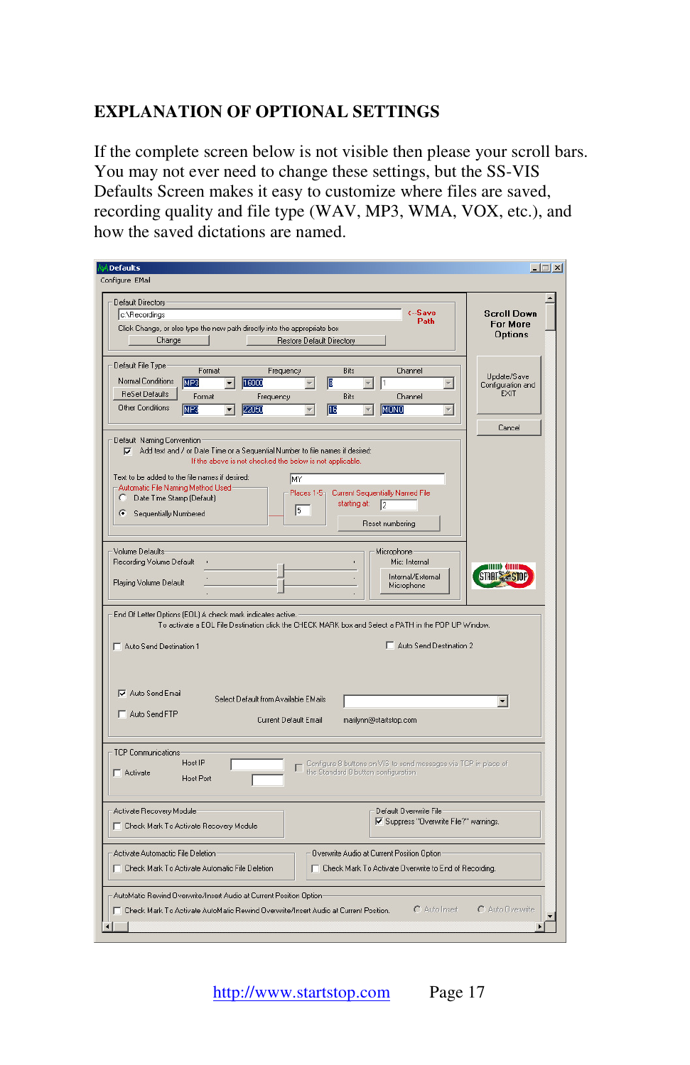## **EXPLANATION OF OPTIONAL SETTINGS**

If the complete screen below is not visible then please your scroll bars. You may not ever need to change these settings, but the SS-VIS Defaults Screen makes it easy to customize where files are saved, recording quality and file type (WAV, MP3, WMA, VOX, etc.), and how the saved dictations are named.

| <b>Defaults</b><br>Configure EMail                                                                                                                                                                                                                                                                                                                                                                                                                                            | $ \Box$ $\times$                                 |
|-------------------------------------------------------------------------------------------------------------------------------------------------------------------------------------------------------------------------------------------------------------------------------------------------------------------------------------------------------------------------------------------------------------------------------------------------------------------------------|--------------------------------------------------|
| Default Directory<br>$\leftarrow$ Save<br>c:\Recordings<br>Path<br>Click Change, or else type the new path directly into the appropriate box<br>Change<br><b>Restore Default Directory</b>                                                                                                                                                                                                                                                                                    | <b>Scroll Down</b><br><b>For More</b><br>Options |
| Default File Type<br>Format<br>Frequency<br><b>Bits</b><br>Channel<br><b>Normal Conditions</b><br>MP3<br>16000<br>Æ<br>$\blacktriangledown$<br>$\overline{\phantom{a}}$<br><b>ReSet Defaults</b><br>Format<br>Bits<br>Channel<br>Frequency<br><b>Other Conditions</b><br>MP3<br>雁<br>MONO<br>22050<br>$\overline{\phantom{a}}$<br>$\overline{\phantom{a}}$<br>$\blacktriangledown$                                                                                            | Update/Save<br>Configuration and<br>EXIT         |
| Default Naming Convention<br>Add text and / or Date Time or a Sequential Number to file names if desired:<br>$\overline{V}$<br>If the above is not checked the below is not applicable.<br>Text to be added to the file names if desired:<br><b>MY</b><br>Automatic File Naming Method Used-<br>Current Sequentially Named File<br>Places 1-5<br>$\subset$<br>Date Time Stamp (Default)<br>starting at:<br>$\sqrt{2}$<br>l5<br>G.<br>Sequentially Numbered<br>Reset numbering | Cancel                                           |
| Volume Defaults<br>Microphone<br>Recording Volume Default<br>Mic: Internal<br>Internal/External<br>Playing Volume Default<br>Microphone<br>End Of Letter Options (EOL) A check mark indicates active.                                                                                                                                                                                                                                                                         | anas (ana<br><b>START &amp; STO</b>              |
| To activate a EOL File Destination click the CHECK MARK box and Select a PATH in the POP UP Window.<br>Auto Send Destination 2<br>Auto Send Destination 1                                                                                                                                                                                                                                                                                                                     |                                                  |
| Auto Send Email<br>Select Default from Available EMails<br>Auto Send FTP<br>Current Default Email<br>marilynn@startstop.com                                                                                                                                                                                                                                                                                                                                                   | $\blacktriangledown$                             |
| <b>TCP Communications</b><br>Host IP<br>Configure 8 buttons on VIS to send messages via TCP in place of<br>г<br>the Standard 8 button configuration.<br>$\Box$ Activate<br><b>Host Port</b>                                                                                                                                                                                                                                                                                   |                                                  |
| Default Overwrite File<br>Activate Recovery Module<br>Ⅳ Suppress "Overwrite File?" warnings.<br><b>F</b> Check Mark To Activate Recovery Module                                                                                                                                                                                                                                                                                                                               |                                                  |
| Activate Automactic File Deletion<br>Overwrite Audio at Current Position Option<br>□ Check Mark To Activate Automatic File Deletion<br>F Check Mark To Activate Overwrite to End of Recording.                                                                                                                                                                                                                                                                                |                                                  |
| AutoMatic Rewind Overwrite/Insert Audio at Current Position Option<br>C Auto Insert<br>T Check Mark To Activate AutoMatic Rewind Overwrite/Insert Audio at Current Position.                                                                                                                                                                                                                                                                                                  | C Auto Overwrite                                 |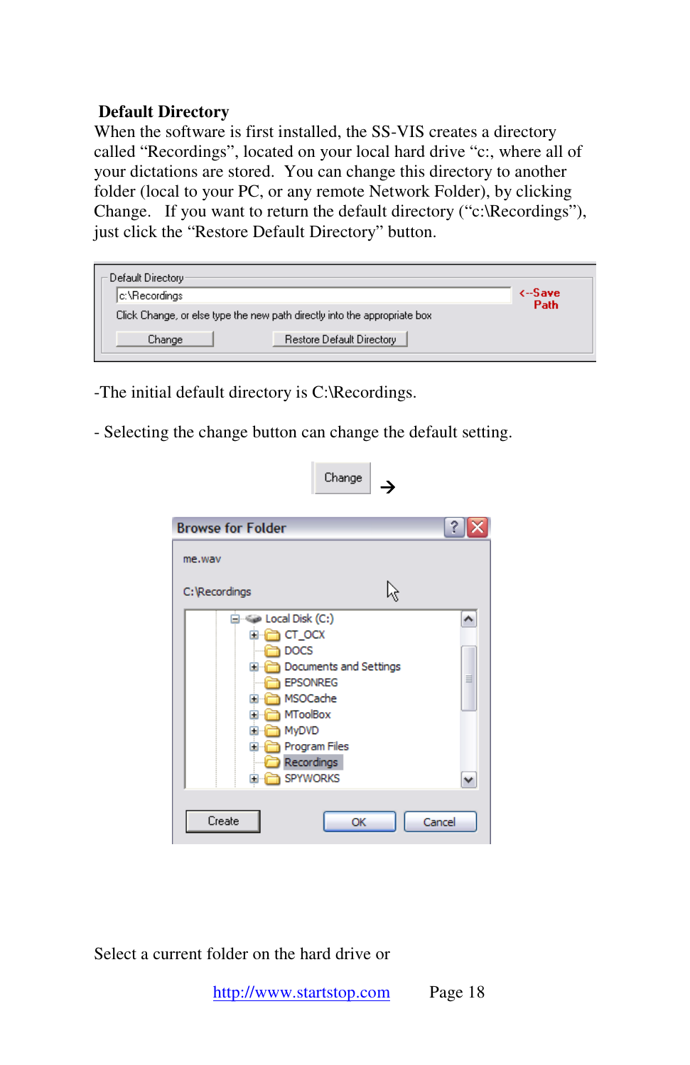#### **Default Directory**

When the software is first installed, the SS-VIS creates a directory called "Recordings", located on your local hard drive "c:, where all of your dictations are stored. You can change this directory to another folder (local to your PC, or any remote Network Folder), by clicking Change. If you want to return the default directory ("c:\Recordings"), just click the "Restore Default Directory" button.

| Default Directory                                                         |               |
|---------------------------------------------------------------------------|---------------|
|                                                                           | <b>K-Save</b> |
| lc:\Recordinasi                                                           | Path          |
| Click Change, or else type the new path directly into the appropriate box |               |
| Restore Default Directory<br>Change                                       |               |

-The initial default directory is C:\Recordings.

- Selecting the change button can change the default setting.

| <b>Browse for Folder</b>                        |                                                                                                                            | ? |
|-------------------------------------------------|----------------------------------------------------------------------------------------------------------------------------|---|
| me.way                                          |                                                                                                                            |   |
| C: Recordings                                   |                                                                                                                            |   |
| $\overline{+}$<br>Ŧ<br>Ŧ<br>$\blacksquare$<br>Œ | ⊟ « Local Disk (C:)<br>CT_OCX<br><b>DOCS</b><br>Documents and Settings<br><b>EPSONREG</b><br>MSOCache<br>MToolBox<br>MyDVD |   |

Select a current folder on the hard drive or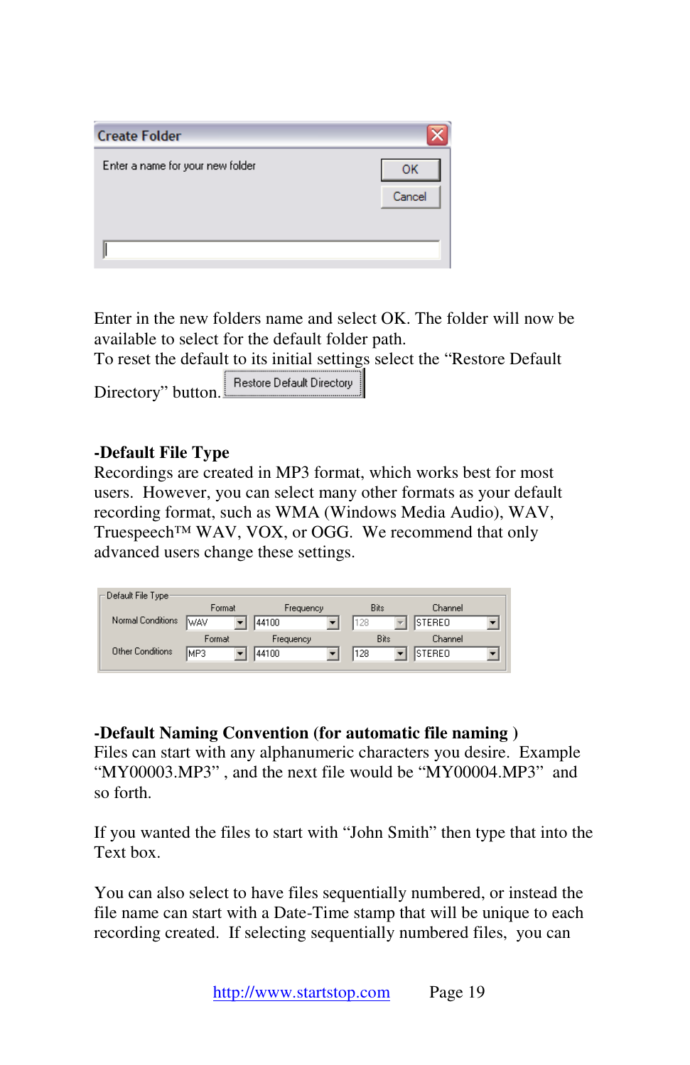| <b>Create Folder</b>             |        |
|----------------------------------|--------|
| Enter a name for your new folder | ок     |
|                                  | Cancel |
|                                  |        |
|                                  |        |

Enter in the new folders name and select OK. The folder will now be available to select for the default folder path.

To reset the default to its initial settings select the "Restore Default

Directory" button. Restore Default Directory

#### **-Default File Type**

Recordings are created in MP3 format, which works best for most users. However, you can select many other formats as your default recording format, such as WMA (Windows Media Audio), WAV, Truespeech™ WAV, VOX, or OGG. We recommend that only advanced users change these settings.

| ⊢Default File Type: |        |           |      |               |
|---------------------|--------|-----------|------|---------------|
|                     | Format | Frequency | Bits | Channel       |
| Normal Conditions   | lwav   | 44100     | 128  | <b>STEREO</b> |
|                     | Format | Frequency | Bits | Channel       |
| Other Conditions    | MP3    | 44100     | 128  | STEREO        |
|                     |        |           |      |               |

#### **-Default Naming Convention (for automatic file naming )**

Files can start with any alphanumeric characters you desire. Example "MY00003.MP3" , and the next file would be "MY00004.MP3" and so forth.

If you wanted the files to start with "John Smith" then type that into the Text box.

You can also select to have files sequentially numbered, or instead the file name can start with a Date-Time stamp that will be unique to each recording created. If selecting sequentially numbered files, you can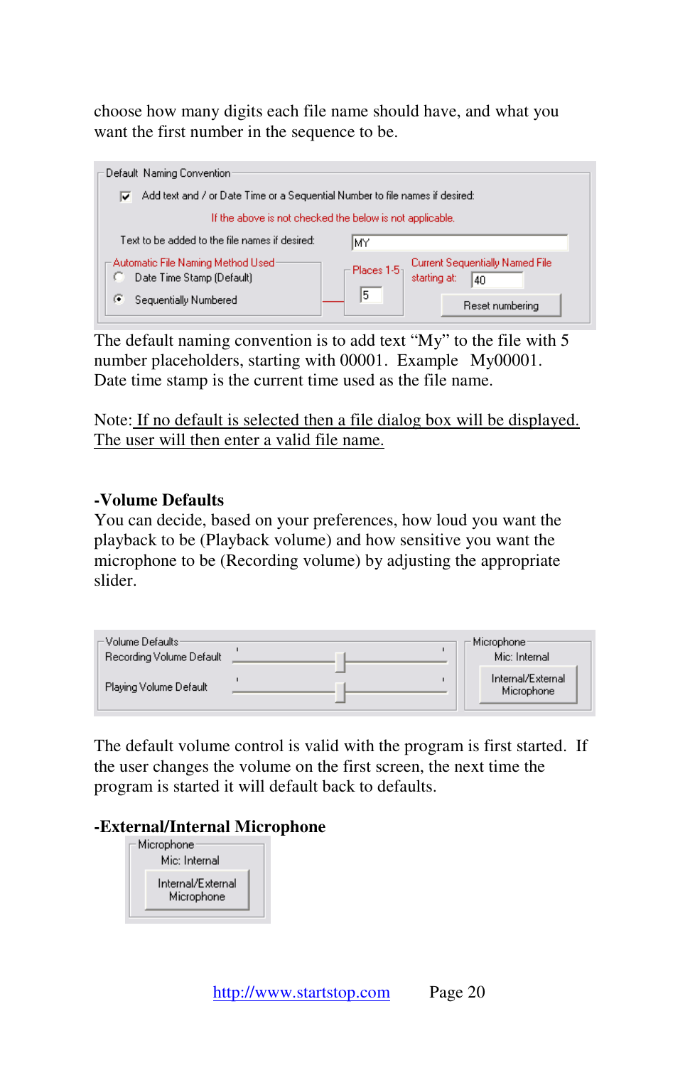choose how many digits each file name should have, and what you want the first number in the sequence to be.



The default naming convention is to add text "My" to the file with 5 number placeholders, starting with 00001. Example My00001. Date time stamp is the current time used as the file name.

Note: If no default is selected then a file dialog box will be displayed. The user will then enter a valid file name.

#### **-Volume Defaults**

You can decide, based on your preferences, how loud you want the playback to be (Playback volume) and how sensitive you want the microphone to be (Recording volume) by adjusting the appropriate slider.



The default volume control is valid with the program is first started. If the user changes the volume on the first screen, the next time the program is started it will default back to defaults.

#### **-External/Internal Microphone**

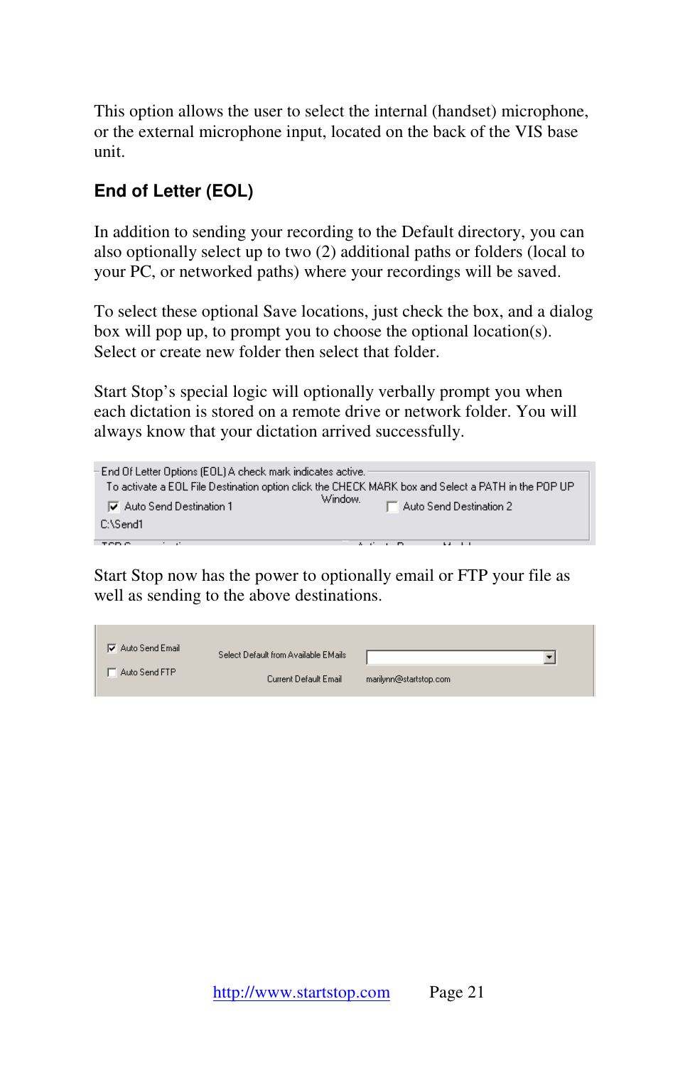This option allows the user to select the internal (handset) microphone, or the external microphone input, located on the back of the VIS base unit.

# **End of Letter (EOL)**

In addition to sending your recording to the Default directory, you can also optionally select up to two (2) additional paths or folders (local to your PC, or networked paths) where your recordings will be saved.

To select these optional Save locations, just check the box, and a dialog box will pop up, to prompt you to choose the optional location(s). Select or create new folder then select that folder.

Start Stop's special logic will optionally verbally prompt you when each dictation is stored on a remote drive or network folder. You will always know that your dictation arrived successfully.



Start Stop now has the power to optionally email or FTP your file as well as sending to the above destinations.

| Auto Send Email | Select Default from Available EMails |                        |
|-----------------|--------------------------------------|------------------------|
| Auto Send FTP   | Current Default Email                | marilynn@startstop.com |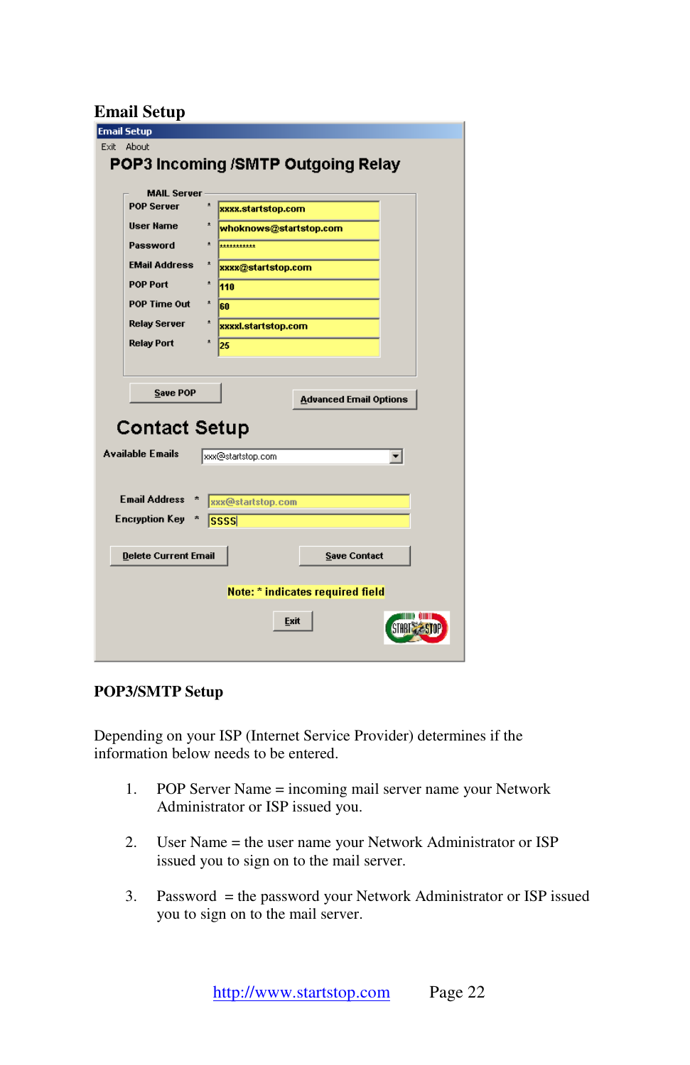### **Email Setup**

| <b>Email Setup</b>                       |                                    |
|------------------------------------------|------------------------------------|
| Exit About                               |                                    |
|                                          |                                    |
|                                          | POP3 Incoming /SMTP Outgoing Relay |
| <b>MAIL Server</b>                       |                                    |
| <b>POP Server</b><br>$\star$             |                                    |
|                                          | xxxx.startstop.com                 |
| User Name<br>$\star$                     | whoknows@startstop.com             |
| Password<br>*                            | ***********                        |
| <b>EMail Address</b><br>*                | xxxx@startstop.com                 |
| POP Port<br>$\pmb{\star}$<br>110         |                                    |
| POP Time Out<br>$\pmb{\star}$<br>60      |                                    |
| <b>Relay Server</b><br>*                 | xxxxl.startstop.com                |
| <b>Relay Port</b><br>$\pmb{\star}$<br>25 |                                    |
|                                          |                                    |
|                                          |                                    |
| <b>Save POP</b>                          |                                    |
|                                          | <b>Advanced Email Options</b>      |
|                                          |                                    |
| <b>Contact Setup</b>                     |                                    |
| <b>Available Emails</b>                  | xxx@startstop.com                  |
|                                          |                                    |
|                                          |                                    |
| Email Address *                          | xxx@startstop.com                  |
| <b>Encryption Key</b><br>*               |                                    |
| ssss                                     |                                    |
|                                          |                                    |
| <b>Delete Current Email</b>              | <b>Save Contact</b>                |
|                                          |                                    |
|                                          | Note: * indicates required field   |
|                                          |                                    |
|                                          | Exit                               |
|                                          |                                    |
|                                          |                                    |

#### **POP3/SMTP Setup**

Depending on your ISP (Internet Service Provider) determines if the information below needs to be entered.

- 1. POP Server Name = incoming mail server name your Network Administrator or ISP issued you.
- 2. User Name = the user name your Network Administrator or ISP issued you to sign on to the mail server.
- 3. Password = the password your Network Administrator or ISP issued you to sign on to the mail server.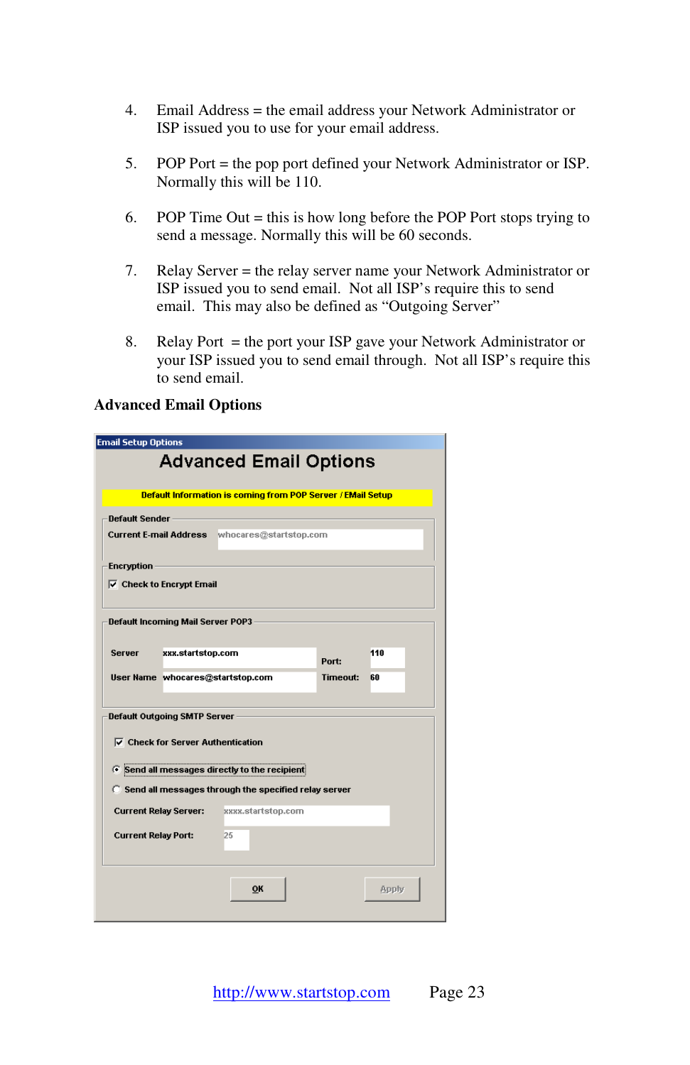- 4. Email Address = the email address your Network Administrator or ISP issued you to use for your email address.
- 5. POP Port = the pop port defined your Network Administrator or ISP. Normally this will be 110.
- 6. POP Time Out  $=$  this is how long before the POP Port stops trying to send a message. Normally this will be 60 seconds.
- 7. Relay Server = the relay server name your Network Administrator or ISP issued you to send email. Not all ISP's require this to send email. This may also be defined as "Outgoing Server"
- 8. Relay Port = the port your ISP gave your Network Administrator or your ISP issued you to send email through. Not all ISP's require this to send email.

#### **Advanced Email Options**

| <b>Email Setup Options</b>                                             |                                                                    |          |       |  |
|------------------------------------------------------------------------|--------------------------------------------------------------------|----------|-------|--|
|                                                                        | <b>Advanced Email Options</b>                                      |          |       |  |
|                                                                        | <b>Default Information is coming from POP Server / EMail Setup</b> |          |       |  |
| <b>Default Sender</b><br>Current E-mail Address whocares@startstop.com |                                                                    |          |       |  |
|                                                                        |                                                                    |          |       |  |
| <b>Encryption</b>                                                      |                                                                    |          |       |  |
| $\nabla$ Check to Encrypt Email                                        |                                                                    |          |       |  |
| <b>Default Incoming Mail Server POP3</b>                               |                                                                    |          |       |  |
|                                                                        |                                                                    |          |       |  |
| xxx.startstop.com<br>Server                                            |                                                                    | Port:    | 110   |  |
| User Name whocares@startstop.com                                       |                                                                    | Timeout: | 60    |  |
|                                                                        |                                                                    |          |       |  |
| Default Outgoing SMTP Server                                           |                                                                    |          |       |  |
| $\nabla$ Check for Server Authentication                               |                                                                    |          |       |  |
| F Send all messages directly to the recipient                          |                                                                    |          |       |  |
| C Send all messages through the specified relay server                 |                                                                    |          |       |  |
| <b>Current Relay Server:</b> xxxx.startstop.com                        |                                                                    |          |       |  |
| <b>Current Relay Port:</b>                                             | 25                                                                 |          |       |  |
|                                                                        |                                                                    |          |       |  |
|                                                                        |                                                                    |          |       |  |
|                                                                        | <b>OK</b>                                                          |          | Apply |  |
|                                                                        |                                                                    |          |       |  |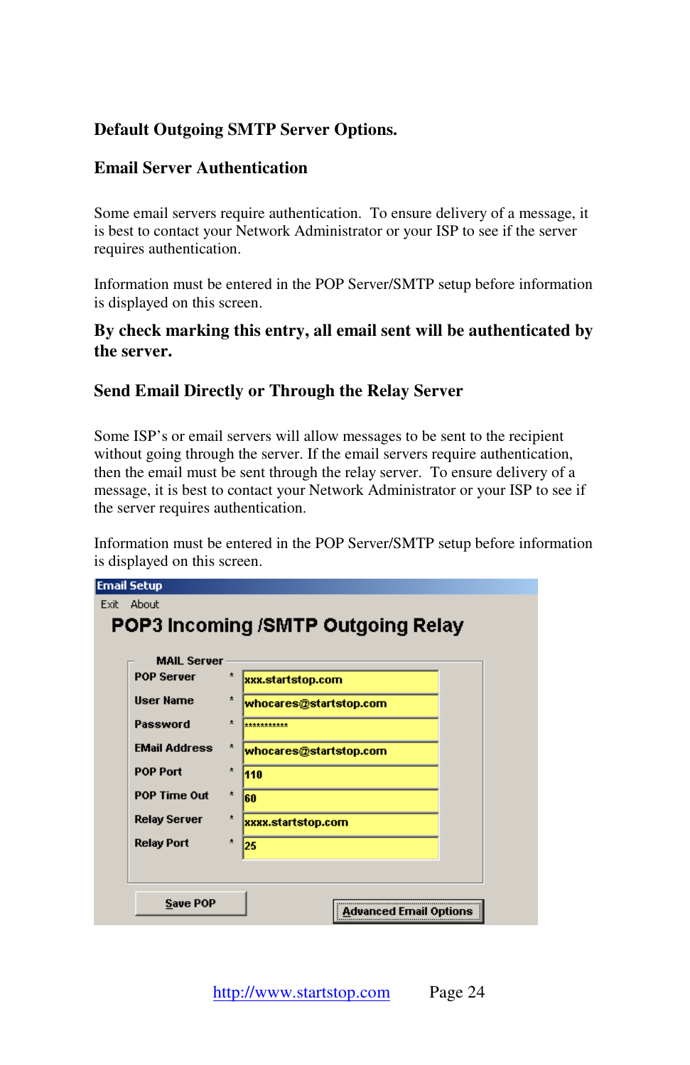## **Default Outgoing SMTP Server Options.**

#### **Email Server Authentication**

Some email servers require authentication. To ensure delivery of a message, it is best to contact your Network Administrator or your ISP to see if the server requires authentication.

Information must be entered in the POP Server/SMTP setup before information is displayed on this screen.

#### **By check marking this entry, all email sent will be authenticated by the server.**

#### **Send Email Directly or Through the Relay Server**

Some ISP's or email servers will allow messages to be sent to the recipient without going through the server. If the email servers require authentication, then the email must be sent through the relay server. To ensure delivery of a message, it is best to contact your Network Administrator or your ISP to see if the server requires authentication.

Information must be entered in the POP Server/SMTP setup before information is displayed on this screen.

| <b>MAIL Server</b>   |         |                        |
|----------------------|---------|------------------------|
| <b>POP Server</b>    | $\star$ | xxx.startstop.com      |
| <b>User Name</b>     | $\star$ | whocares@startstop.com |
| Password             | $\star$ | ***********            |
| <b>EMail Address</b> | $\star$ | whocares@startstop.com |
| <b>POP Port</b>      | $\star$ | 110                    |
| POP Time Out         | ×.      | 60                     |
| <b>Relay Server</b>  | $\star$ | xxxx.startstop.com     |
| <b>Relay Port</b>    | $\star$ | 25                     |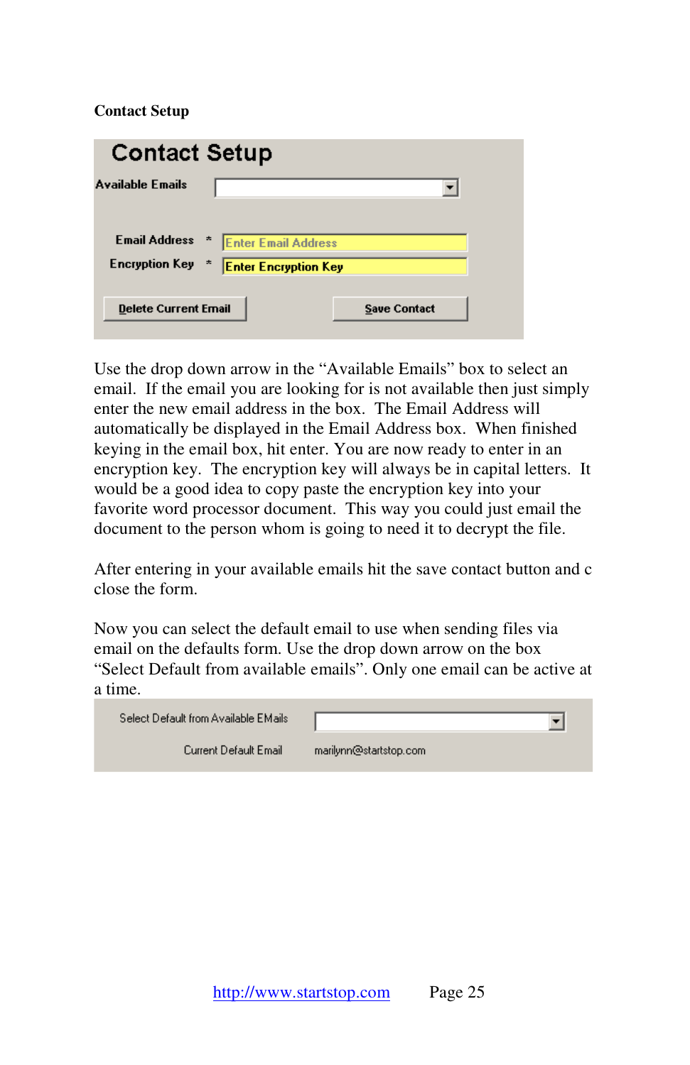#### **Contact Setup**

| <b>Contact Setup</b>        |                             |                     |  |
|-----------------------------|-----------------------------|---------------------|--|
| <b>Available Emails</b>     |                             |                     |  |
|                             |                             |                     |  |
| <b>Email Address</b>        | <b>Enter Email Address</b>  |                     |  |
| <b>Encryption Key</b>       | <b>Enter Encryption Key</b> |                     |  |
| <b>Delete Current Email</b> |                             | <b>Save Contact</b> |  |

Use the drop down arrow in the "Available Emails" box to select an email. If the email you are looking for is not available then just simply enter the new email address in the box. The Email Address will automatically be displayed in the Email Address box. When finished keying in the email box, hit enter. You are now ready to enter in an encryption key. The encryption key will always be in capital letters. It would be a good idea to copy paste the encryption key into your favorite word processor document. This way you could just email the document to the person whom is going to need it to decrypt the file.

After entering in your available emails hit the save contact button and c close the form.

Now you can select the default email to use when sending files via email on the defaults form. Use the drop down arrow on the box "Select Default from available emails". Only one email can be active at a time.

| Select Default from Available EMails |                        |
|--------------------------------------|------------------------|
| Current Default Email                | marilynn@startstop.com |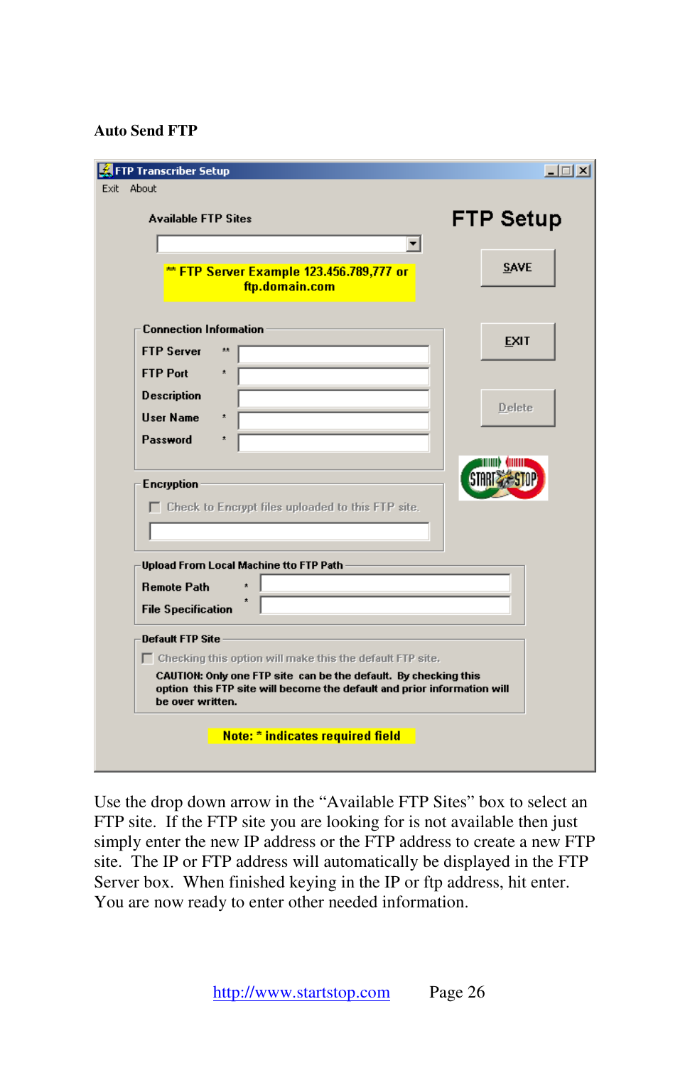#### **Auto Send FTP**

| <b>Available FTP Sites</b>    |                                                                                                                                            | <b>FTP Setup</b> |
|-------------------------------|--------------------------------------------------------------------------------------------------------------------------------------------|------------------|
|                               |                                                                                                                                            |                  |
|                               | ** FTP Server Example 123.456.789,777 or<br>ftp.domain.com                                                                                 | <b>SAVE</b>      |
| <b>Connection Information</b> |                                                                                                                                            |                  |
| <b>FTP Server</b>             | **                                                                                                                                         | <b>EXIT</b>      |
| <b>FTP Port</b>               | $\pmb{\star}$                                                                                                                              |                  |
| <b>Description</b>            |                                                                                                                                            |                  |
| <b>User Name</b>              | $\pmb{\star}$                                                                                                                              | Delete           |
| Password                      | $\star$                                                                                                                                    |                  |
| <b>Encryption</b>             | $\Box$ Check to Encrypt files uploaded to this FTP site.                                                                                   |                  |
|                               | <b>Upload From Local Machine tto FTP Path</b>                                                                                              |                  |
| <b>Remote Path</b>            | $\star$                                                                                                                                    |                  |
|                               |                                                                                                                                            |                  |
| <b>File Specification</b>     |                                                                                                                                            |                  |
| <b>Default FTP Site</b>       |                                                                                                                                            |                  |
|                               | $\Box$ Checking this option will make this the default FTP site.                                                                           |                  |
| be over written.              | CAUTION: Only one FTP site can be the default. By checking this<br>option this FTP site will become the default and prior information will |                  |

Use the drop down arrow in the "Available FTP Sites" box to select an FTP site. If the FTP site you are looking for is not available then just simply enter the new IP address or the FTP address to create a new FTP site. The IP or FTP address will automatically be displayed in the FTP Server box. When finished keying in the IP or ftp address, hit enter. You are now ready to enter other needed information.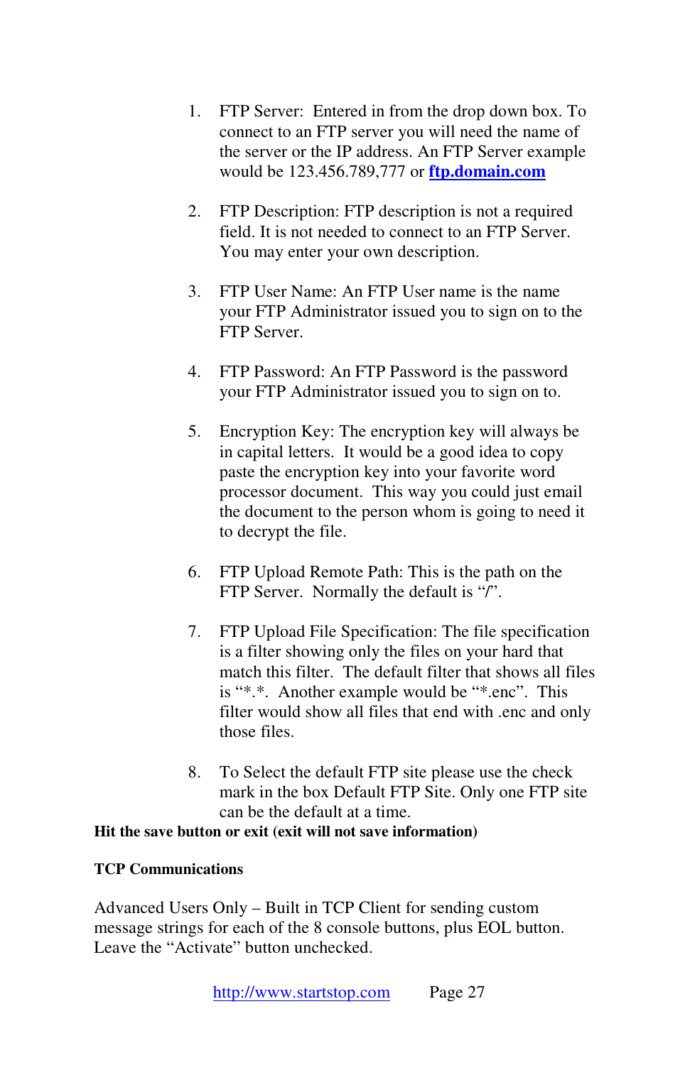- 1. FTP Server: Entered in from the drop down box. To connect to an FTP server you will need the name of the server or the IP address. An FTP Server example would be 123.456.789,777 or **ftp.domain.com**
- 2. FTP Description: FTP description is not a required field. It is not needed to connect to an FTP Server. You may enter your own description.
- 3. FTP User Name: An FTP User name is the name your FTP Administrator issued you to sign on to the FTP Server.
- 4. FTP Password: An FTP Password is the password your FTP Administrator issued you to sign on to.
- 5. Encryption Key: The encryption key will always be in capital letters. It would be a good idea to copy paste the encryption key into your favorite word processor document. This way you could just email the document to the person whom is going to need it to decrypt the file.
- 6. FTP Upload Remote Path: This is the path on the FTP Server. Normally the default is "/".
- 7. FTP Upload File Specification: The file specification is a filter showing only the files on your hard that match this filter. The default filter that shows all files is "\*.\*. Another example would be "\*.enc". This filter would show all files that end with .enc and only those files.
- 8. To Select the default FTP site please use the check mark in the box Default FTP Site. Only one FTP site can be the default at a time.

#### **Hit the save button or exit (exit will not save information)**

#### **TCP Communications**

Advanced Users Only – Built in TCP Client for sending custom message strings for each of the 8 console buttons, plus EOL button. Leave the "Activate" button unchecked.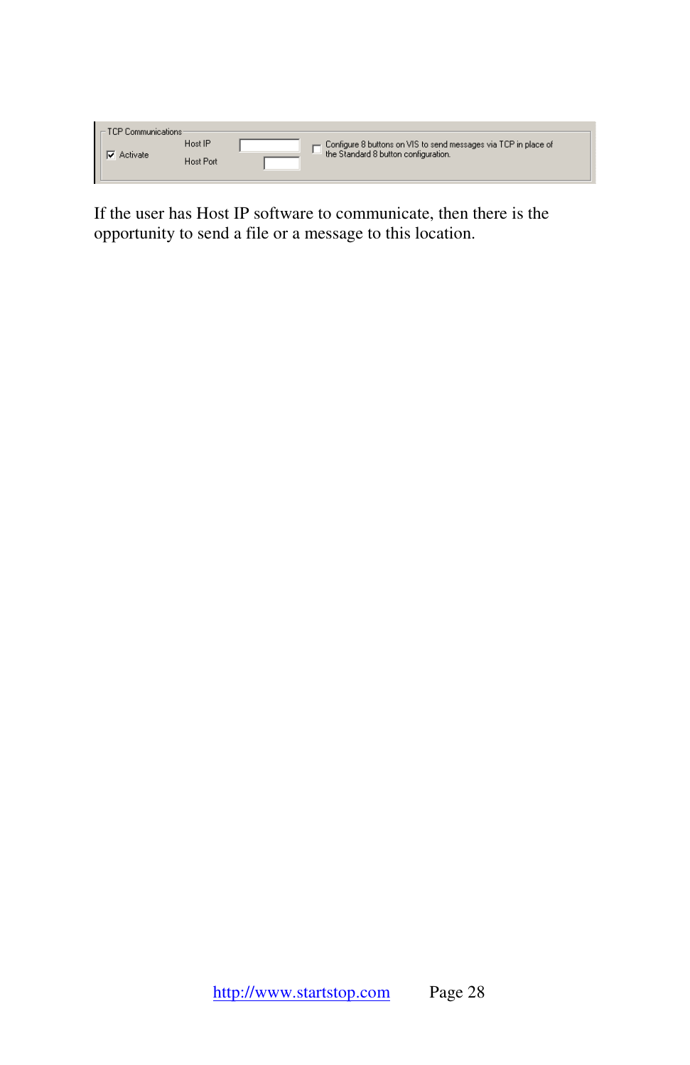| $\mathsf{T} \sqsubset \mathsf{TCP}$ Communications -<br>Activate | Host IP          | Configure 8 buttons on VIS to send messages via TCP in place of<br>the Standard 8 button configuration. |
|------------------------------------------------------------------|------------------|---------------------------------------------------------------------------------------------------------|
|                                                                  | <b>Host Port</b> |                                                                                                         |

If the user has Host IP software to communicate, then there is the opportunity to send a file or a message to this location.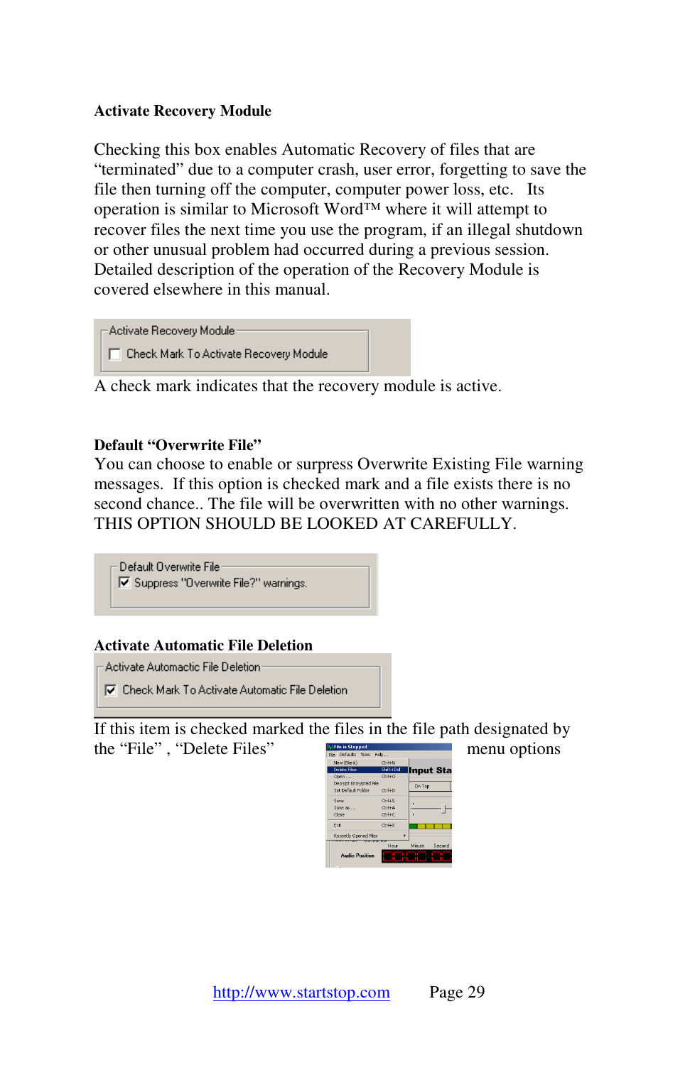#### **Activate Recovery Module**

Checking this box enables Automatic Recovery of files that are "terminated" due to a computer crash, user error, forgetting to save the file then turning off the computer, computer power loss, etc. Its operation is similar to Microsoft Word™ where it will attempt to recover files the next time you use the program, if an illegal shutdown or other unusual problem had occurred during a previous session. Detailed description of the operation of the Recovery Module is covered elsewhere in this manual.

```
Activate Recovery Module
F Check Mark To Activate Recovery Module
```
A check mark indicates that the recovery module is active.

#### **Default "Overwrite File"**

You can choose to enable or surpress Overwrite Existing File warning messages. If this option is checked mark and a file exists there is no second chance.. The file will be overwritten with no other warnings. THIS OPTION SHOULD BE LOOKED AT CAREFULLY.



**▽** Check Mark To Activate Automatic File Deletion

If this item is checked marked the files in the file path designated by the "File", "Delete Files" menu options

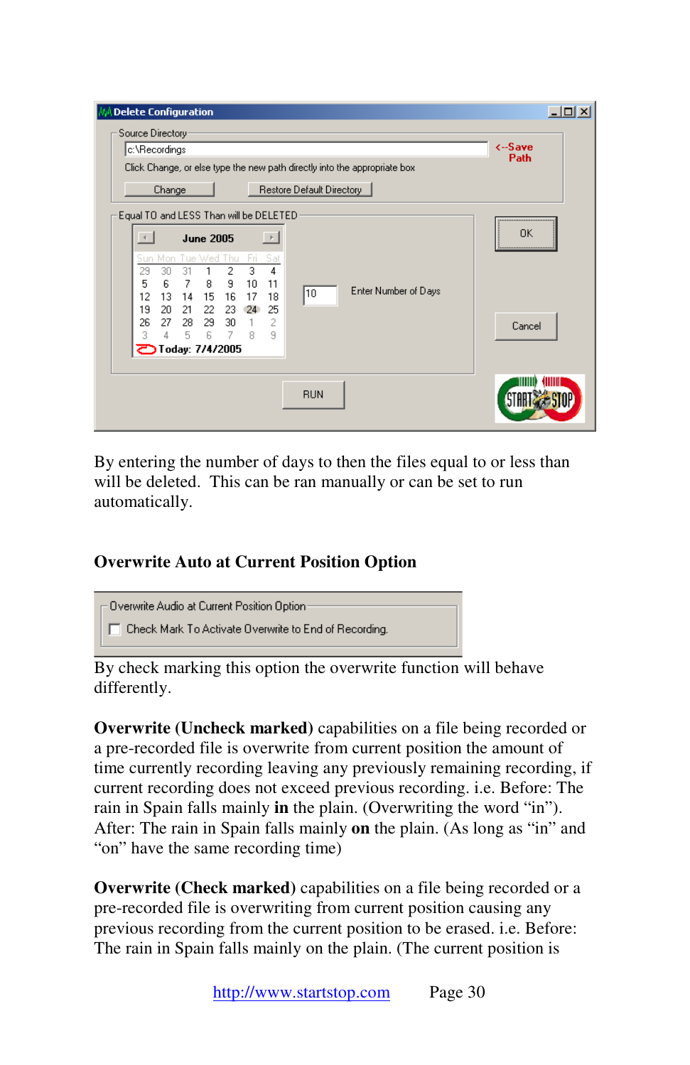| <b>Delete Configuration</b>                                                             | $\times$                   |
|-----------------------------------------------------------------------------------------|----------------------------|
| Source Directory-                                                                       |                            |
| c:\Recordings                                                                           | <-Save<br>Path             |
| Click Change, or else type the new path directly into the appropriate box               |                            |
| Restore Default Directory<br>Change                                                     |                            |
| Equal TO and LESS Than will be DELETED-                                                 | -------------------------- |
| $\rightarrow$<br><b>June 2005</b>                                                       | OK<br>:                    |
| Sun Mon Tue Wed Thu<br>Sat<br>Fri.                                                      |                            |
| 3<br>30<br>2<br>4<br>29<br>31<br>9<br>5<br>6<br>7<br>8<br>10<br>11                      |                            |
| Enter Number of Days<br>10<br>12<br>13<br>15<br>16<br>18<br>14<br>17                    |                            |
| 19<br>20<br>21<br>22<br>25<br>23<br>24                                                  |                            |
| 26.<br>27<br>28<br>- 29<br>30<br>2<br>$\overline{1}$<br>5<br>6<br>7<br>9<br>3<br>8<br>4 | Cancel                     |
| Today: 7/4/2005                                                                         |                            |
|                                                                                         |                            |
|                                                                                         |                            |
| <b>RUN</b>                                                                              |                            |
|                                                                                         |                            |

By entering the number of days to then the files equal to or less than will be deleted. This can be ran manually or can be set to run automatically.

## **Overwrite Auto at Current Position Option**

Overwrite Audio at Current Position Option T Check Mark To Activate Overwrite to End of Recording.

By check marking this option the overwrite function will behave differently.

**Overwrite (Uncheck marked)** capabilities on a file being recorded or a pre-recorded file is overwrite from current position the amount of time currently recording leaving any previously remaining recording, if current recording does not exceed previous recording. i.e. Before: The rain in Spain falls mainly **in** the plain. (Overwriting the word "in"). After: The rain in Spain falls mainly **on** the plain. (As long as "in" and "on" have the same recording time)

**Overwrite (Check marked)** capabilities on a file being recorded or a pre-recorded file is overwriting from current position causing any previous recording from the current position to be erased. i.e. Before: The rain in Spain falls mainly on the plain. (The current position is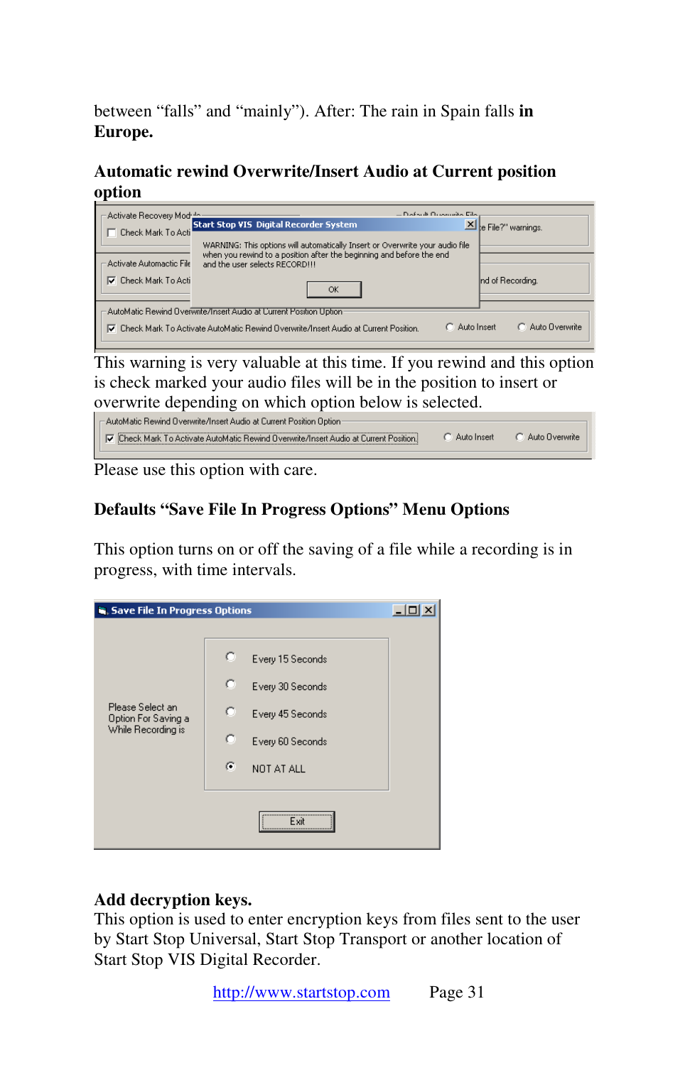between "falls" and "mainly"). After: The rain in Spain falls **in Europe.** 

**Automatic rewind Overwrite/Insert Audio at Current position option** 

| Activate Recovery Module                                                               | – Dofault Duranten Film          |
|----------------------------------------------------------------------------------------|----------------------------------|
| <b>Start Stop VIS Digital Recorder System</b>                                          | X e File?" warnings.             |
| Check Mark To Acti                                                                     |                                  |
| WARNING: This options will automatically Insert or Overwrite your audio file           |                                  |
| when you rewind to a position after the beginning and before the end                   |                                  |
| Activate Automactic File<br>and the user selects RECORDIII                             |                                  |
| <b>▽</b> Check Mark To Acti                                                            | Ind of Recording.                |
| OK                                                                                     |                                  |
|                                                                                        |                                  |
| AutoMatic Rewind Overwrite/Insert Audio at Current Position Uption                     |                                  |
| To Check Mark To Activate AutoMatic Rewind Overwrite/Insert Audio at Current Position. | C. Auto Dverwrite<br>Auto Insert |
|                                                                                        |                                  |

This warning is very valuable at this time. If you rewind and this option is check marked your audio files will be in the position to insert or overwrite depending on which option below is selected.

- AutoMatic Rewind Overwrite/Insert Audio at Current Position Option-C Auto Overwrite Check Mark To Activate AutoMatic Rewind Overwrite/Insert Audio at Current Position. C Auto Insert

Please use this option with care.

## **Defaults "Save File In Progress Options" Menu Options**

This option turns on or off the saving of a file while a recording is in progress, with time intervals.

| Save File In Progress Options                                 |                                                                                                                      |  |
|---------------------------------------------------------------|----------------------------------------------------------------------------------------------------------------------|--|
| Please Select an<br>Option For Saving a<br>While Recording is | o<br>Every 15 Seconds<br>o<br>Every 30 Seconds<br>c<br>Every 45 Seconds<br>c<br>Every 60 Seconds<br>G.<br>NOT AT ALL |  |
|                                                               | Exit<br>                                                                                                             |  |

#### **Add decryption keys.**

This option is used to enter encryption keys from files sent to the user by Start Stop Universal, Start Stop Transport or another location of Start Stop VIS Digital Recorder.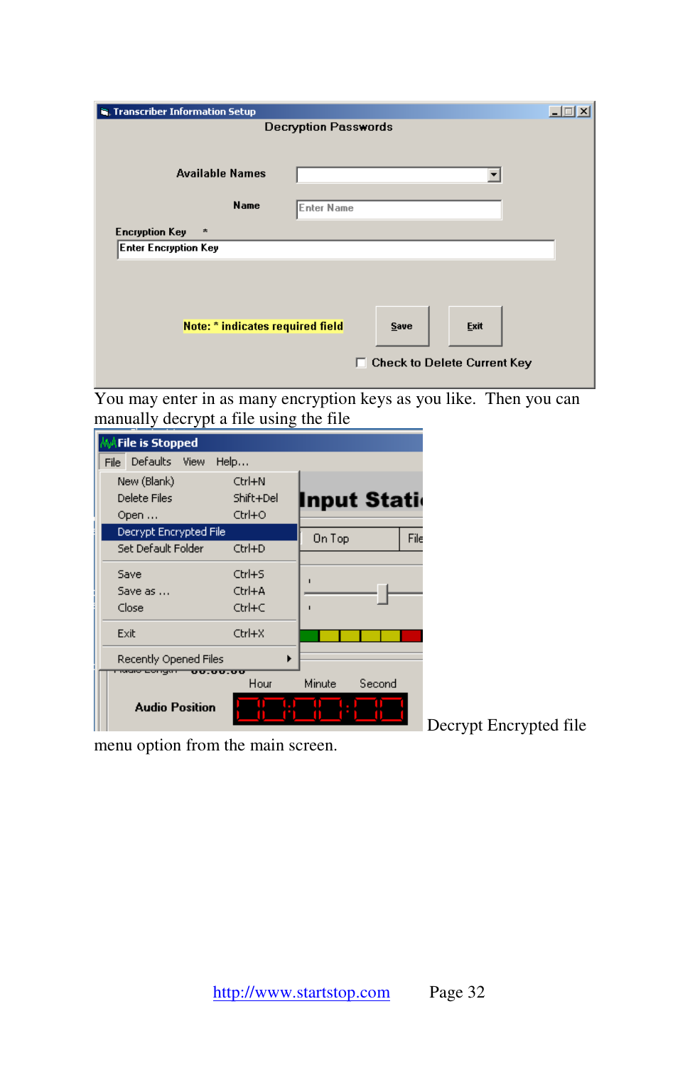| <b>S</b> , Transcriber Information Setup |                                                         |  |
|------------------------------------------|---------------------------------------------------------|--|
| <b>Decryption Passwords</b>              |                                                         |  |
|                                          |                                                         |  |
| <b>Available Names</b>                   |                                                         |  |
| <b>Name</b>                              | Enter Name                                              |  |
| <b>Encryption Key</b><br>木               |                                                         |  |
| <b>Enter Encryption Key</b>              |                                                         |  |
| Note: * indicates required field         | Exit<br>Save<br><b>Check to Delete Current Key</b><br>п |  |

You may enter in as many encryption keys as you like. Then you can manually decrypt a file using the file

| <b>MAFile is Stopped</b> |           |                  |
|--------------------------|-----------|------------------|
| File Defaults View       | Help      |                  |
| New (Blank)              | Ctrl+N    |                  |
| Delete Files             | Shift+Del | Input Stati      |
| Open                     | Ctrl+O    |                  |
| Decrypt Encrypted File   |           | File<br>On Top   |
| Set Default Folder       | Ctrl+D    |                  |
| Save                     | Ctrl+S    |                  |
| Save as                  | Ctrl+A    | п                |
| Close                    | Ctrl+C    | п                |
|                          |           |                  |
| Exit                     | Ctrl+X    |                  |
| Recently Opened Files    |           |                  |
| <u>vv.vv.vv</u>          | Hour      | Second<br>Minute |
|                          |           |                  |
| <b>Audio Position</b>    |           |                  |
|                          |           |                  |

menu option from the main screen.

Decrypt Encrypted file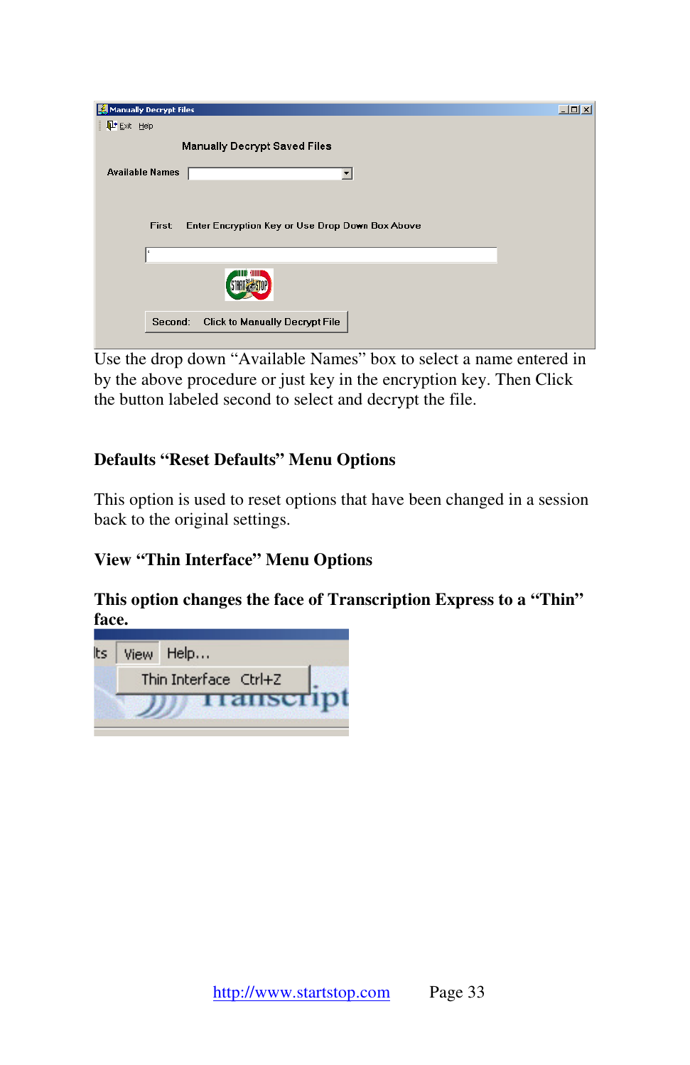| Manually Decrypt Files   |                                                 | $  \blacksquare$ $\times$ |
|--------------------------|-------------------------------------------------|---------------------------|
| L <sup>+</sup> Exit Help |                                                 |                           |
|                          | <b>Manually Decrypt Saved Files</b>             |                           |
| <b>Available Names</b>   |                                                 |                           |
| First:                   | Enter Encryption Key or Use Drop Down Box Above |                           |
|                          |                                                 |                           |
|                          |                                                 |                           |
| Second:                  | Click to Manually Decrypt File                  |                           |

Use the drop down "Available Names" box to select a name entered in by the above procedure or just key in the encryption key. Then Click the button labeled second to select and decrypt the file.

## **Defaults "Reset Defaults" Menu Options**

This option is used to reset options that have been changed in a session back to the original settings.

## **View "Thin Interface" Menu Options**

#### **This option changes the face of Transcription Express to a "Thin" face.**

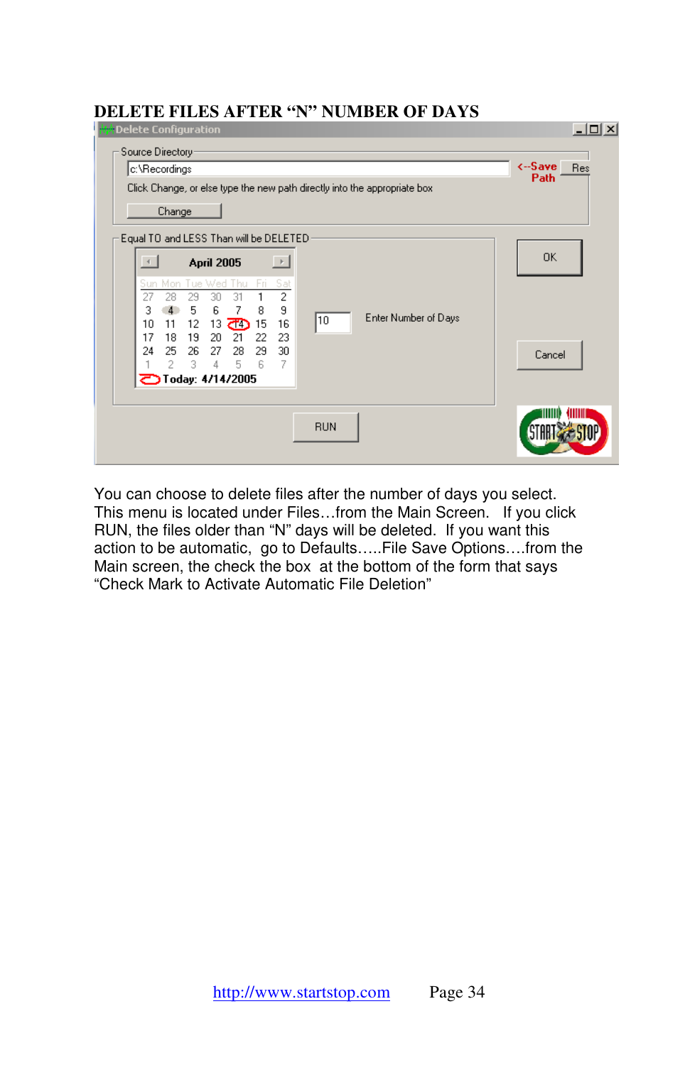#### **DELETE FILES AFTER "N" NUMBER OF DAYS**

| Wheelete Configuration                                                                                      | $ \Box$ $\times$ |
|-------------------------------------------------------------------------------------------------------------|------------------|
| Source Directory-<br>c:\Recordings                                                                          | <-Save<br>Res    |
| Click Change, or else type the new path directly into the appropriate box                                   | Path             |
| Change                                                                                                      |                  |
| Equal TO and LESS Than will be DELETED:                                                                     |                  |
| $\rightarrow$<br><b>April 2005</b>                                                                          | 0K               |
| Mon Tue Wed Thu<br>- Fri<br>Sat<br>Sun.<br>$\overline{c}$<br>27<br>31<br>28<br>29<br>30                     |                  |
| 9<br>7<br>6<br>4<br>5<br>8<br>3<br>Enter Number of Days<br>10<br>11<br>12<br>13<br><b>උඩ</b> 15<br>16<br>10 |                  |
| 17<br>20<br>21<br>22<br>23<br>18<br>19<br>29<br>24<br>25<br>26<br>27 -<br>28<br>30                          | Cancel           |
| 6<br>3.<br>5<br>-7<br>2<br>4<br><b>D</b> Today: 4/14/2005                                                   |                  |
|                                                                                                             |                  |
| <b>RUN</b>                                                                                                  |                  |
|                                                                                                             |                  |

You can choose to delete files after the number of days you select. This menu is located under Files…from the Main Screen. If you click RUN, the files older than "N" days will be deleted. If you want this action to be automatic, go to Defaults…..File Save Options….from the Main screen, the check the box at the bottom of the form that says "Check Mark to Activate Automatic File Deletion"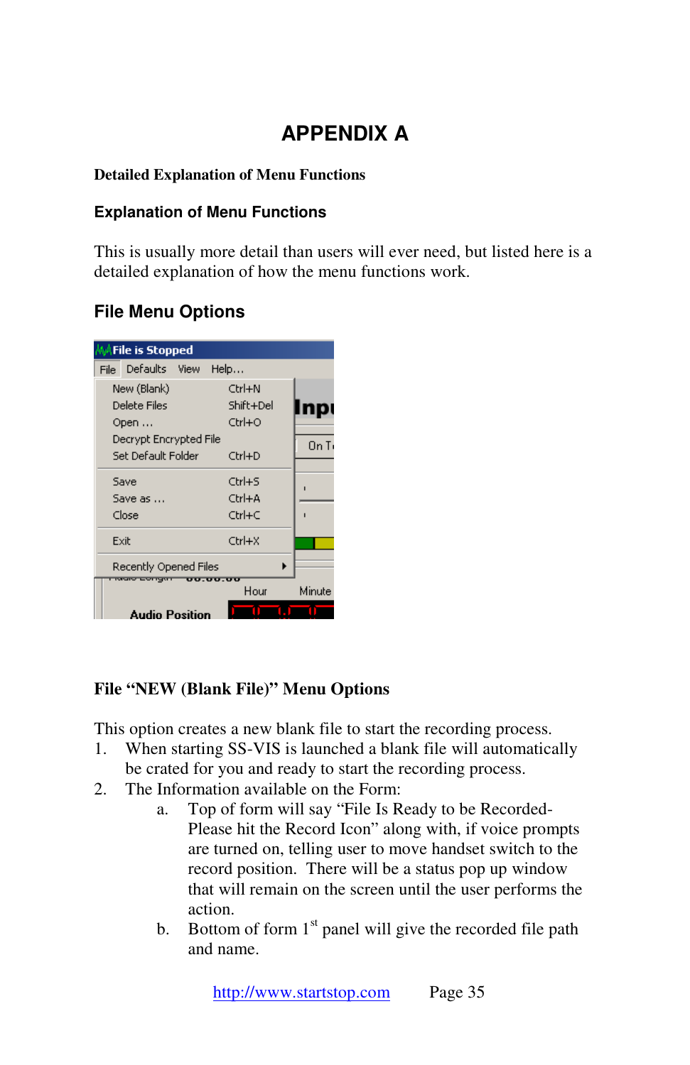# **APPENDIX A**

#### **Detailed Explanation of Menu Functions**

#### **Explanation of Menu Functions**

This is usually more detail than users will ever need, but listed here is a detailed explanation of how the menu functions work.

# **File Menu Options**



## **File "NEW (Blank File)" Menu Options**

This option creates a new blank file to start the recording process.

- 1. When starting SS-VIS is launched a blank file will automatically be crated for you and ready to start the recording process.
- 2. The Information available on the Form:
	- a. Top of form will say "File Is Ready to be Recorded-Please hit the Record Icon" along with, if voice prompts are turned on, telling user to move handset switch to the record position. There will be a status pop up window that will remain on the screen until the user performs the action.
	- b. Bottom of form  $1<sup>st</sup>$  panel will give the recorded file path and name.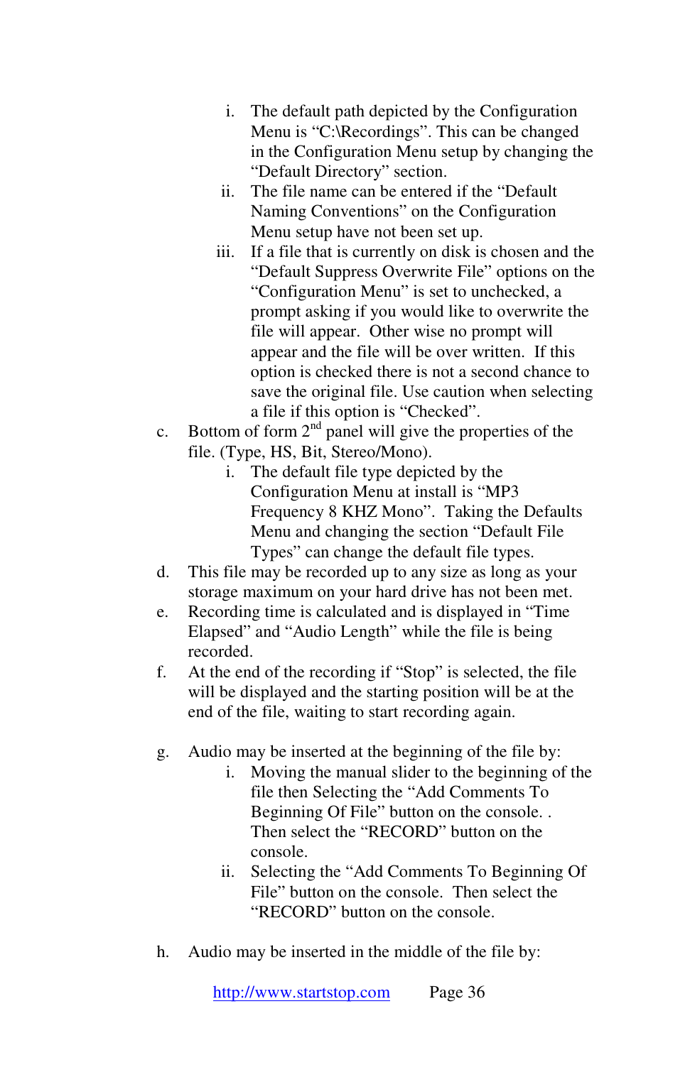- i. The default path depicted by the Configuration Menu is "C:\Recordings". This can be changed in the Configuration Menu setup by changing the "Default Directory" section.
- ii. The file name can be entered if the "Default Naming Conventions" on the Configuration Menu setup have not been set up.
- iii. If a file that is currently on disk is chosen and the "Default Suppress Overwrite File" options on the "Configuration Menu" is set to unchecked, a prompt asking if you would like to overwrite the file will appear. Other wise no prompt will appear and the file will be over written. If this option is checked there is not a second chance to save the original file. Use caution when selecting a file if this option is "Checked".
- c. Bottom of form  $2<sup>nd</sup>$  panel will give the properties of the file. (Type, HS, Bit, Stereo/Mono).
	- i. The default file type depicted by the Configuration Menu at install is "MP3 Frequency 8 KHZ Mono". Taking the Defaults Menu and changing the section "Default File Types" can change the default file types.
- d. This file may be recorded up to any size as long as your storage maximum on your hard drive has not been met.
- e. Recording time is calculated and is displayed in "Time Elapsed" and "Audio Length" while the file is being recorded.
- f. At the end of the recording if "Stop" is selected, the file will be displayed and the starting position will be at the end of the file, waiting to start recording again.
- g. Audio may be inserted at the beginning of the file by:
	- i. Moving the manual slider to the beginning of the file then Selecting the "Add Comments To Beginning Of File" button on the console. . Then select the "RECORD" button on the console.
	- ii. Selecting the "Add Comments To Beginning Of File" button on the console. Then select the "RECORD" button on the console.
- h. Audio may be inserted in the middle of the file by: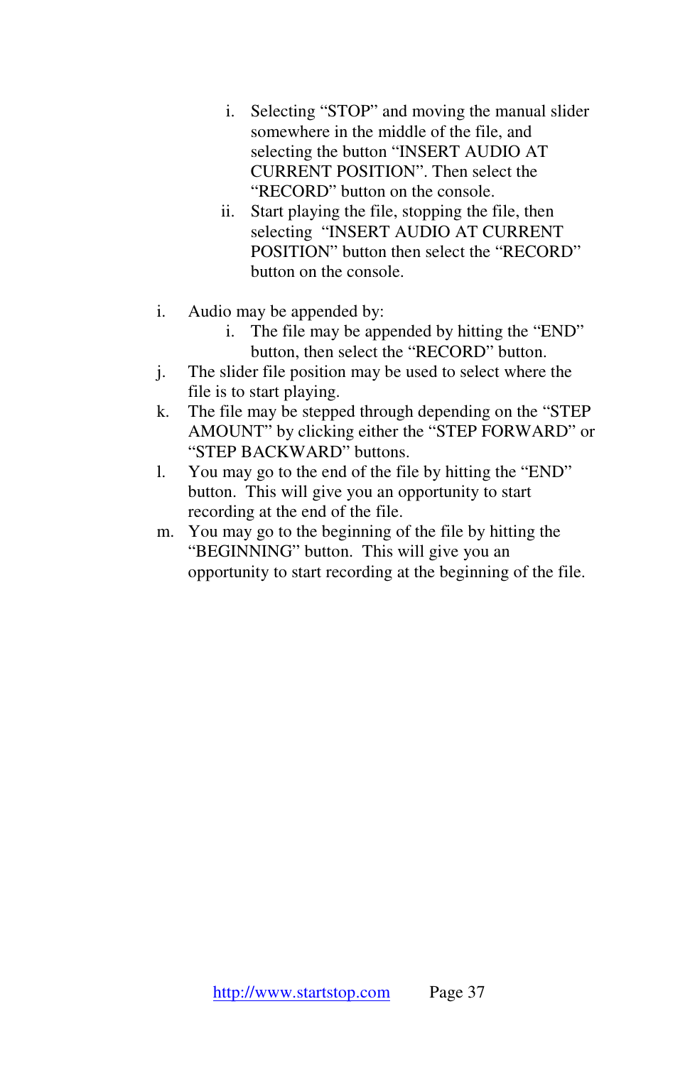- i. Selecting "STOP" and moving the manual slider somewhere in the middle of the file, and selecting the button "INSERT AUDIO AT CURRENT POSITION". Then select the "RECORD" button on the console.
- ii. Start playing the file, stopping the file, then selecting "INSERT AUDIO AT CURRENT POSITION" button then select the "RECORD" button on the console.
- i. Audio may be appended by:
	- i. The file may be appended by hitting the "END" button, then select the "RECORD" button.
- j. The slider file position may be used to select where the file is to start playing.
- k. The file may be stepped through depending on the "STEP AMOUNT" by clicking either the "STEP FORWARD" or "STEP BACKWARD" buttons.
- l. You may go to the end of the file by hitting the "END" button. This will give you an opportunity to start recording at the end of the file.
- m. You may go to the beginning of the file by hitting the "BEGINNING" button. This will give you an opportunity to start recording at the beginning of the file.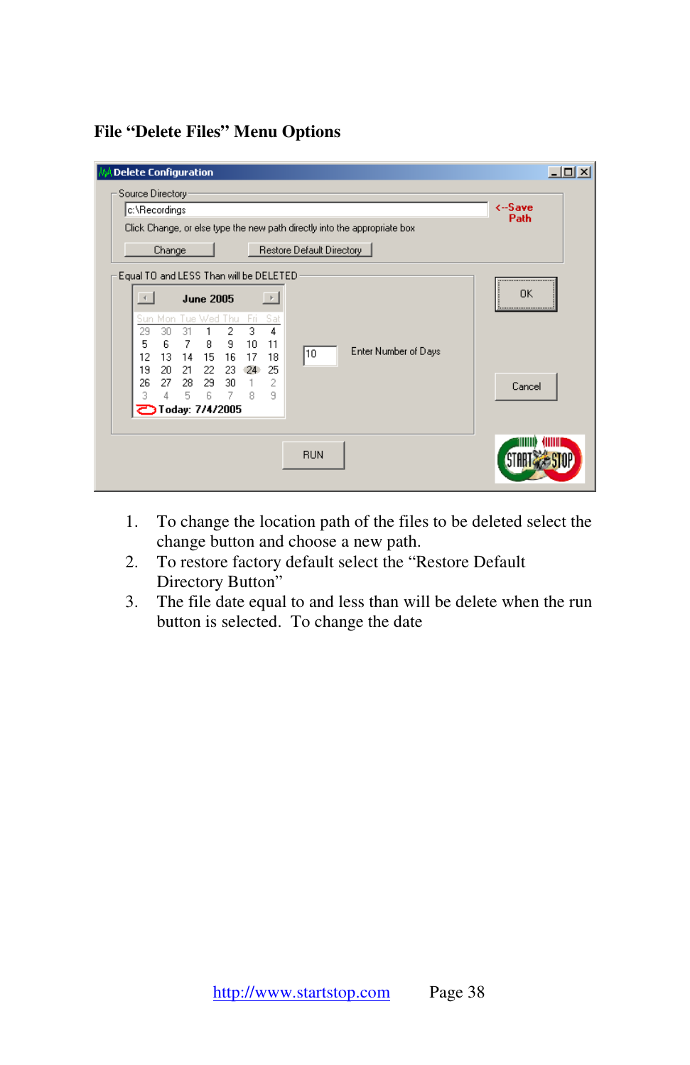## **File "Delete Files" Menu Options**

| <b>Delete Configuration</b>                                                                                                                                                                                                                                                                                                     | $\Box$ o $\times$         |  |  |  |
|---------------------------------------------------------------------------------------------------------------------------------------------------------------------------------------------------------------------------------------------------------------------------------------------------------------------------------|---------------------------|--|--|--|
| Source Directory                                                                                                                                                                                                                                                                                                                |                           |  |  |  |
| c:\Recordings                                                                                                                                                                                                                                                                                                                   | $\leftarrow$ Save<br>Path |  |  |  |
| Click Change, or else type the new path directly into the appropriate box                                                                                                                                                                                                                                                       |                           |  |  |  |
| Restore Default Directory<br>Change                                                                                                                                                                                                                                                                                             |                           |  |  |  |
| Equal TO and LESS Than will be DELETED<br>                                                                                                                                                                                                                                                                                      |                           |  |  |  |
| $\rightarrow$<br><b>June 2005</b>                                                                                                                                                                                                                                                                                               | 0K<br>                    |  |  |  |
| Sun Mon Tue Wed Thu<br>Fri.<br>Sat<br>3<br>29<br>2<br>4<br>30<br>31<br>6<br>5<br>7<br>9<br>11<br>8<br>10<br>Enter Number of Days<br>10<br>12<br>13<br>15<br>16<br>17<br>18<br>14<br>19<br>25<br>20<br>21<br>22<br>23<br>-24<br>2<br>26<br>27<br>29<br>28<br>30<br>$7 -$<br>5<br>6<br>9<br>3<br>8<br>4<br><b>Today: 7/4/2005</b> | Cancel                    |  |  |  |
| <b>RUN</b>                                                                                                                                                                                                                                                                                                                      |                           |  |  |  |

- 1. To change the location path of the files to be deleted select the change button and choose a new path.
- 2. To restore factory default select the "Restore Default Directory Button"
- 3. The file date equal to and less than will be delete when the run button is selected. To change the date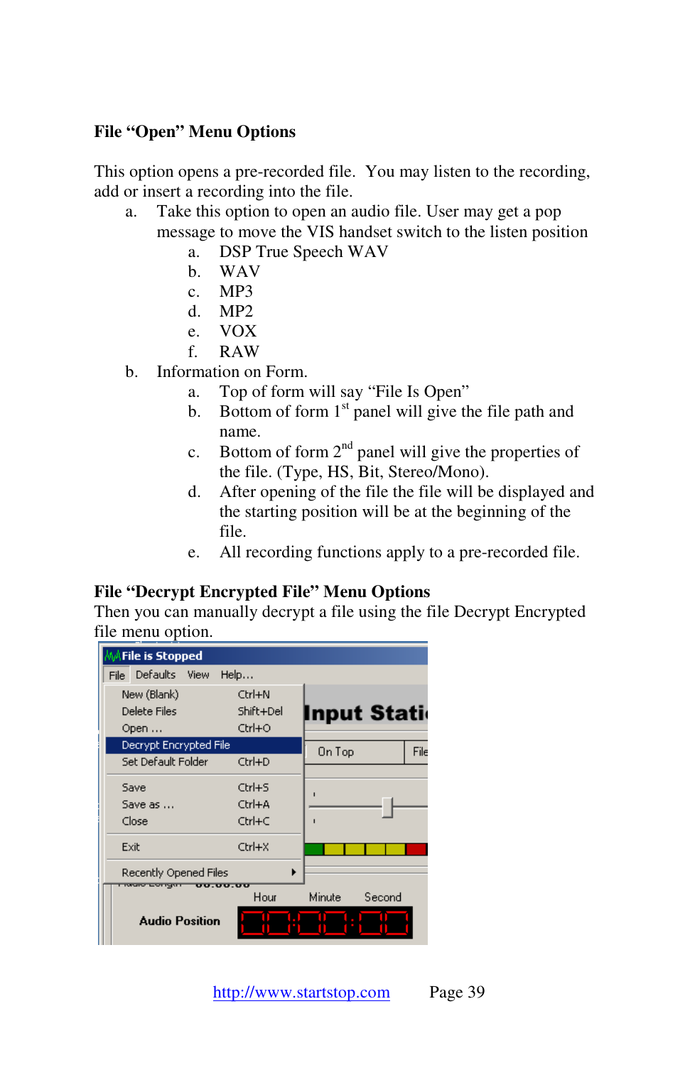## **File "Open" Menu Options**

This option opens a pre-recorded file. You may listen to the recording, add or insert a recording into the file.

- a. Take this option to open an audio file. User may get a pop message to move the VIS handset switch to the listen position
	- a. DSP True Speech WAV
	- b. WAV
	- c. MP3
	- d. MP2
	- e. VOX
	- f. RAW
- b. Information on Form.
	- a. Top of form will say "File Is Open"
	- b. Bottom of form  $1<sup>st</sup>$  panel will give the file path and name.
	- c. Bottom of form  $2<sup>nd</sup>$  panel will give the properties of the file. (Type, HS, Bit, Stereo/Mono).
	- d. After opening of the file the file will be displayed and the starting position will be at the beginning of the file.
	- e. All recording functions apply to a pre-recorded file.

#### **File "Decrypt Encrypted File" Menu Options**

Then you can manually decrypt a file using the file Decrypt Encrypted file menu option.

| <b>MAFile is Stopped</b>              |           |                    |
|---------------------------------------|-----------|--------------------|
| File Defaults View                    | Help      |                    |
| New (Blank)                           | Ctrl+N    |                    |
| Delete Files                          | Shift+Del | <b>Input Stati</b> |
| Open                                  | Ctrl+O    |                    |
| Decrypt Encrypted File                |           | File<br>On Top     |
| Set Default Folder                    | Ctrl+D    |                    |
| Save                                  | Ctrl+S    | $\blacksquare$     |
| Save as                               | Ctrl+A    |                    |
| Close                                 | Ctrl+C    | ı                  |
| Exit                                  | Ctrl+X    |                    |
| Recently Opened Files                 |           |                    |
| <b>00.00.00</b><br><b>MONTHLOTTEN</b> | Hour      | Minute<br>Second   |
| <b>Audio Position</b>                 |           |                    |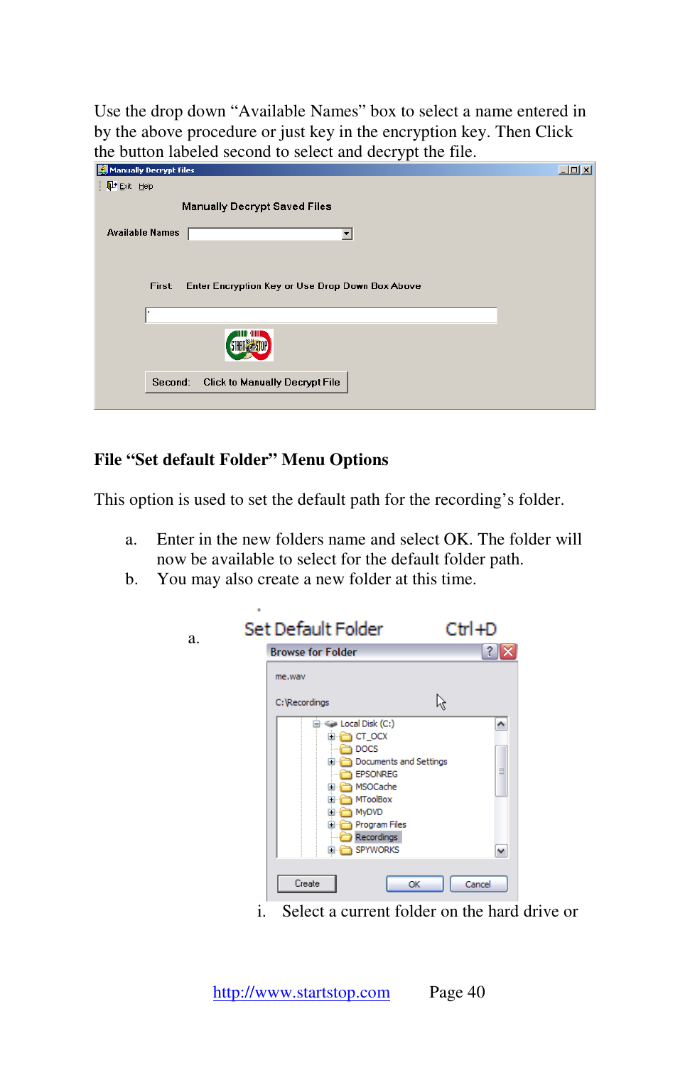Use the drop down "Available Names" box to select a name entered in by the above procedure or just key in the encryption key. Then Click the button labeled second to select and decrypt the file.

| Manually Decrypt Files                                    | $\Box$ |
|-----------------------------------------------------------|--------|
| L <sup>+</sup> Exit Help                                  |        |
| <b>Manually Decrypt Saved Files</b>                       |        |
| <b>Available Names</b>                                    |        |
|                                                           |        |
|                                                           |        |
| Enter Encryption Key or Use Drop Down Box Above<br>First: |        |
| $\boldsymbol{\times}$                                     |        |
|                                                           |        |
| <b>Click to Manually Decrypt File</b><br>Second:          |        |
|                                                           |        |

#### **File "Set default Folder" Menu Options**

a.

This option is used to set the default path for the recording's folder.

- a. Enter in the new folders name and select OK. The folder will now be available to select for the default folder path.
- b. You may also create a new folder at this time.

| Set Default Folder                                                                                                                                                                                                                                       |                    |
|----------------------------------------------------------------------------------------------------------------------------------------------------------------------------------------------------------------------------------------------------------|--------------------|
| <b>Browse for Folder</b>                                                                                                                                                                                                                                 | 3                  |
| me.way                                                                                                                                                                                                                                                   |                    |
| C: Recordings                                                                                                                                                                                                                                            | ド                  |
| <b>Elliste Local Disk (C:)</b><br><b>CT_OCX</b><br>œ.<br><b>DOCS</b><br>Documents and Settings<br>$\blacksquare$<br><b>EPSONREG</b><br>MSOCache<br>Ŧ<br>MToolBox<br>$\ddot{}$<br>MyDVD<br>Ŧ<br><b>Program Files</b><br>Ŧ<br>Recordings<br>SPYWORKS<br>田一 | ۸<br>$\equiv$<br>٧ |
| Create                                                                                                                                                                                                                                                   | Cancel<br>OK       |

i. Select a current folder on the hard drive or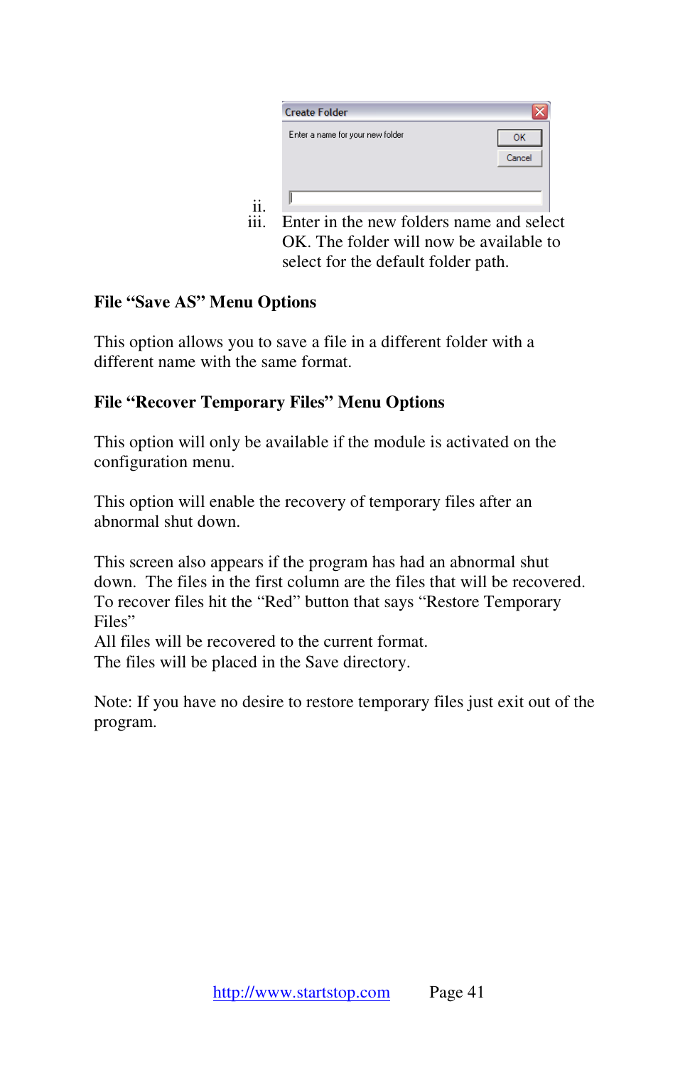iii. Enter in the new folders name and select OK. The folder will now be available to select for the default folder path.

## **File "Save AS" Menu Options**

This option allows you to save a file in a different folder with a different name with the same format.

## **File "Recover Temporary Files" Menu Options**

This option will only be available if the module is activated on the configuration menu.

This option will enable the recovery of temporary files after an abnormal shut down.

This screen also appears if the program has had an abnormal shut down. The files in the first column are the files that will be recovered. To recover files hit the "Red" button that says "Restore Temporary Files"

All files will be recovered to the current format. The files will be placed in the Save directory.

Note: If you have no desire to restore temporary files just exit out of the program.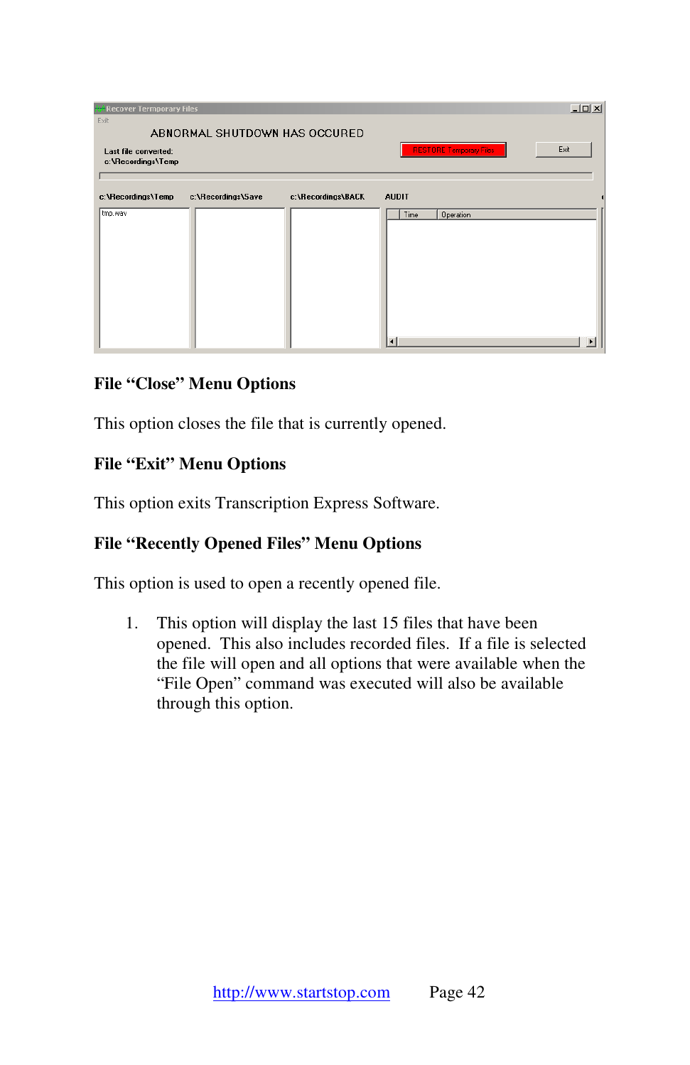| <b>A</b> Recover Termporary Files<br>Exit  |                               |                    |                                   | $  D $ $\times$ |
|--------------------------------------------|-------------------------------|--------------------|-----------------------------------|-----------------|
| Last file converted:<br>c:\Recordings\Temp | ABNORMAL SHUTDOWN HAS OCCURED |                    | <b>RESTORE Temporary Files</b>    | Exit            |
| c:\Recordings\Temp<br>tmp.wav              | c:\Recordings\Save            | c:\Recordings\BACK | <b>AUDIT</b><br>Time<br>Operation |                 |
|                                            |                               |                    |                                   |                 |
|                                            |                               |                    |                                   |                 |
|                                            |                               |                    | $\overline{4}$                    | Þ               |

## **File "Close" Menu Options**

This option closes the file that is currently opened.

#### **File "Exit" Menu Options**

This option exits Transcription Express Software.

#### **File "Recently Opened Files" Menu Options**

This option is used to open a recently opened file.

1. This option will display the last 15 files that have been opened. This also includes recorded files. If a file is selected the file will open and all options that were available when the "File Open" command was executed will also be available through this option.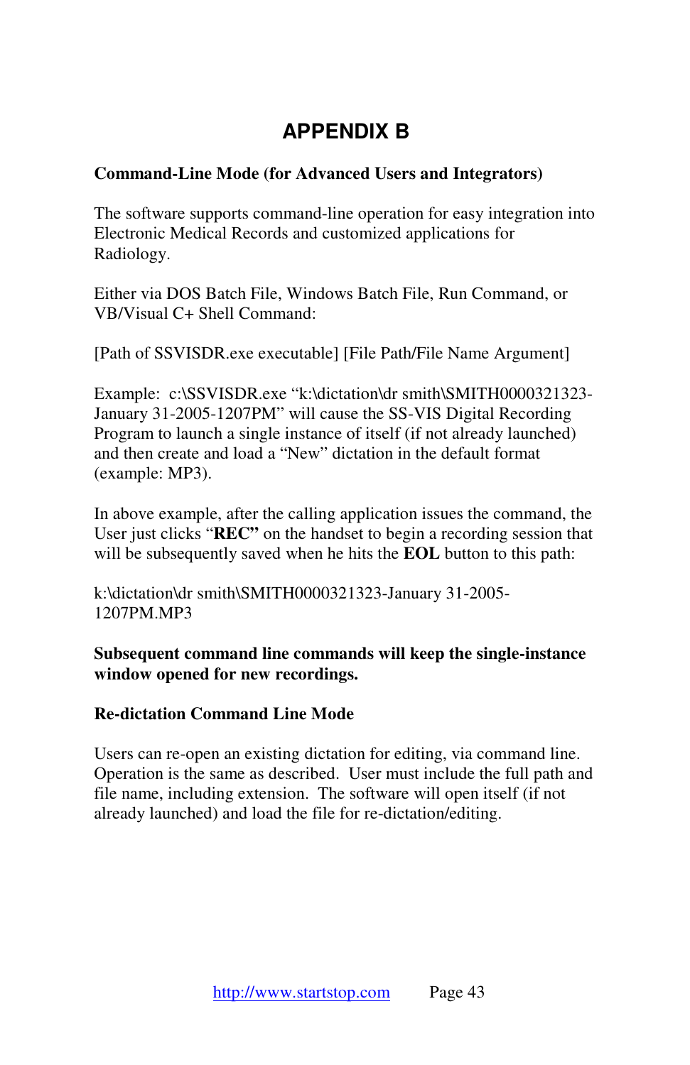# **APPENDIX B**

### **Command-Line Mode (for Advanced Users and Integrators)**

The software supports command-line operation for easy integration into Electronic Medical Records and customized applications for Radiology.

Either via DOS Batch File, Windows Batch File, Run Command, or VB/Visual C+ Shell Command:

[Path of SSVISDR.exe executable] [File Path/File Name Argument]

Example: c:\SSVISDR.exe "k:\dictation\dr smith\SMITH0000321323-January 31-2005-1207PM" will cause the SS-VIS Digital Recording Program to launch a single instance of itself (if not already launched) and then create and load a "New" dictation in the default format (example: MP3).

In above example, after the calling application issues the command, the User just clicks "**REC"** on the handset to begin a recording session that will be subsequently saved when he hits the **EOL** button to this path:

k:\dictation\dr smith\SMITH0000321323-January 31-2005- 1207PM.MP3

**Subsequent command line commands will keep the single-instance window opened for new recordings.** 

#### **Re-dictation Command Line Mode**

Users can re-open an existing dictation for editing, via command line. Operation is the same as described. User must include the full path and file name, including extension. The software will open itself (if not already launched) and load the file for re-dictation/editing.